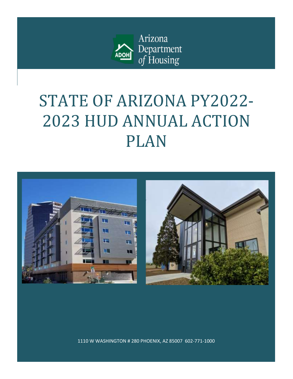

# STATE OF ARIZONA PY2022- 2023 HUD ANNUAL ACTION PLAN



1110 W WASHINGTON # 280 PHOENIX, AZ 85007 602-771-1000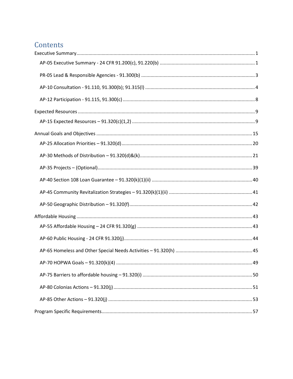# Contents

| .49 |
|-----|
|     |
|     |
|     |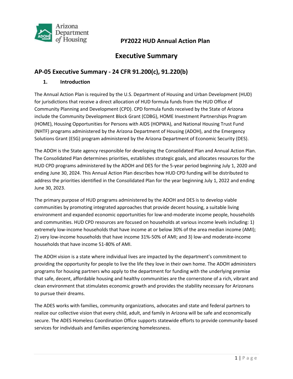

# **Executive Summary**

### <span id="page-2-1"></span><span id="page-2-0"></span>**AP-05 Executive Summary - 24 CFR 91.200(c), 91.220(b)**

#### **1. Introduction**

The Annual Action Plan is required by the U.S. Department of Housing and Urban Development (HUD) for jurisdictions that receive a direct allocation of HUD formula funds from the HUD Office of Community Planning and Development (CPD). CPD formula funds received by the State of Arizona include the Community Development Block Grant (CDBG), HOME Investment Partnerships Program (HOME), Housing Opportunities for Persons with AIDS (HOPWA), and National Housing Trust Fund (NHTF) programs administered by the Arizona Department of Housing (ADOH), and the Emergency Solutions Grant (ESG) program administered by the Arizona Department of Economic Security (DES).

The ADOH is the State agency responsible for developing the Consolidated Plan and Annual Action Plan. The Consolidated Plan determines priorities, establishes strategic goals, and allocates resources for the HUD CPD programs administered by the ADOH and DES for the 5-year period beginning July 1, 2020 and ending June 30, 2024. This Annual Action Plan describes how HUD CPD funding will be distributed to address the priorities identified in the Consolidated Plan for the year beginning July 1, 2022 and ending June 30, 2023.

The primary purpose of HUD programs administered by the ADOH and DES is to develop viable communities by promoting integrated approaches that provide decent housing, a suitable living environment and expanded economic opportunities for low-and-moderate income people, households and communities. HUD CPD resources are focused on households at various income levels including: 1) extremely low-income households that have income at or below 30% of the area median income (AMI); 2) very low-income households that have income 31%-50% of AMI; and 3) low-and moderate-income households that have income 51-80% of AMI.

The ADOH vision is a state where individual lives are impacted by the department's commitment to providing the opportunity for people to live the life they love in their own home. The ADOH administers programs for housing partners who apply to the department for funding with the underlying premise that safe, decent, affordable housing and healthy communities are the cornerstone of a rich, vibrant and clean environment that stimulates economic growth and provides the stability necessary for Arizonans to pursue their dreams.

The ADES works with families, community organizations, advocates and state and federal partners to realize our collective vision that every child, adult, and family in Arizona will be safe and economically secure. The ADES Homeless Coordination Office supports statewide efforts to provide community-based services for individuals and families experiencing homelessness.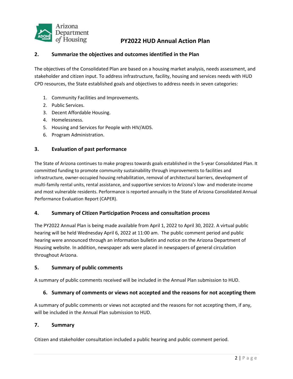

#### **2. Summarize the objectives and outcomes identified in the Plan**

The objectives of the Consolidated Plan are based on a housing market analysis, needs assessment, and stakeholder and citizen input. To address infrastructure, facility, housing and services needs with HUD CPD resources, the State established goals and objectives to address needs in seven categories:

- 1. Community Facilities and Improvements.
- 2. Public Services.
- 3. Decent Affordable Housing.
- 4. Homelessness.
- 5. Housing and Services for People with HIV/AIDS.
- 6. Program Administration.

#### **3. Evaluation of past performance**

The State of Arizona continues to make progress towards goals established in the 5-year Consolidated Plan. It committed funding to promote community sustainability through improvements to facilities and infrastructure, owner-occupied housing rehabilitation, removal of architectural barriers, development of multi-family rental units, rental assistance, and supportive services to Arizona's low- and moderate-income and most vulnerable residents. Performance is reported annually in the State of Arizona Consolidated Annual Performance Evaluation Report (CAPER).

#### **4. Summary of Citizen Participation Process and consultation process**

The PY2022 Annual Plan is being made available from April 1, 2022 to April 30, 2022. A virtual public hearing will be held Wednesday April 6, 2022 at 11:00 am. The public comment period and public hearing were announced through an information bulletin and notice on the Arizona Department of Housing website. In addition, newspaper ads were placed in newspapers of general circulation throughout Arizona.

#### **5. Summary of public comments**

A summary of public comments received will be included in the Annual Plan submission to HUD.

#### **6. Summary of comments or views not accepted and the reasons for not accepting them**

A summary of public comments or views not accepted and the reasons for not accepting them, if any, will be included in the Annual Plan submission to HUD.

#### **7. Summary**

Citizen and stakeholder consultation included a public hearing and public comment period.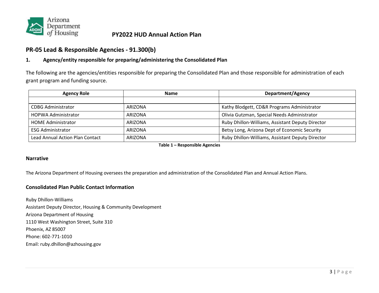

### **PR-05 Lead & Responsible Agencies - 91.300(b)**

### **1. Agency/entity responsible for preparing/administering the Consolidated Plan**

The following are the agencies/entities responsible for preparing the Consolidated Plan and those responsible for administration of each grant program and funding source.

| <b>Agency Role</b>                     | <b>Name</b>    | <b>Department/Agency</b>                         |  |  |
|----------------------------------------|----------------|--------------------------------------------------|--|--|
|                                        |                |                                                  |  |  |
| <b>CDBG Administrator</b>              | ARIZONA        | Kathy Blodgett, CD&R Programs Administrator      |  |  |
| <b>HOPWA Administrator</b>             | <b>ARIZONA</b> | Olivia Gutzman, Special Needs Administrator      |  |  |
| <b>HOME Administrator</b>              | <b>ARIZONA</b> | Ruby Dhillon-Williams, Assistant Deputy Director |  |  |
| <b>ESG Administrator</b>               | <b>ARIZONA</b> | Betsy Long, Arizona Dept of Economic Security    |  |  |
| <b>Lead Annual Action Plan Contact</b> | ARIZONA        | Ruby Dhillon-Williams, Assistant Deputy Director |  |  |

**Table 1 – Responsible Agencies**

#### <span id="page-4-0"></span>**Narrative**

The Arizona Department of Housing oversees the preparation and administration of the Consolidated Plan and Annual Action Plans.

#### **Consolidated Plan Public Contact Information**

Ruby Dhillon-Williams Assistant Deputy Director, Housing & Community Development Arizona Department of Housing 1110 West Washington Street, Suite 310 Phoenix, AZ 85007 Phone: 602-771-1010 Email: ruby.dhillon@azhousing.gov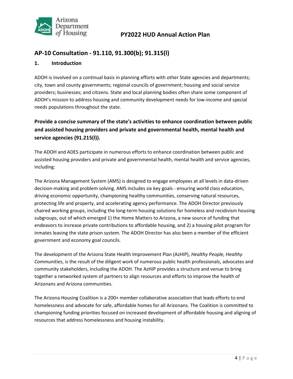

### <span id="page-5-0"></span>**AP-10 Consultation - 91.110, 91.300(b); 91.315(l)**

#### **1. Introduction**

ADOH is involved on a continual basis in planning efforts with other State agencies and departments; city, town and county governments; regional councils of government; housing and social service providers; businesses; and citizens. State and local planning bodies often share some component of ADOH's mission to address housing and community development needs for low-income and special needs populations throughout the state.

**Provide a concise summary of the state's activities to enhance coordination between public and assisted housing providers and private and governmental health, mental health and service agencies (91.215(l)).**

The ADOH and ADES participate in numerous efforts to enhance coordination between public and assisted housing providers and private and governmental health, mental health and service agencies, including:

The Arizona Management System (AMS) is designed to engage employees at all levels in data-driven decision-making and problem solving. AMS includes six key goals - ensuring world class education, driving economic opportunity, championing healthy communities, conserving natural resources, protecting life and property, and accelerating agency performance. The ADOH Director previously chaired working groups, including the long-term housing solutions for homeless and recidivism housing subgroups, out of which emerged 1) the Home Matters to Arizona, a new source of funding that endeavors to increase private contributions to affordable housing, and 2) a housing pilot program for inmates leaving the state prison system. The ADOH Director has also been a member of the efficient government and economy goal councils.

The development of the Arizona State Health Improvement Plan (AzHIP), *Healthy People, Healthy Communities*, is the result of the diligent work of numerous public health professionals, advocates and community stakeholders, including the ADOH. The AzHIP provides a structure and venue to bring together a networked system of partners to align resources and efforts to improve the health of Arizonans and Arizona communities.

The Arizona Housing Coalition is a 200+ member collaborative association that leads efforts to end homelessness and advocate for safe, affordable homes for all Arizonans. The Coalition is committed to championing funding priorities focused on increased development of affordable housing and aligning of resources that address homelessness and housing instability.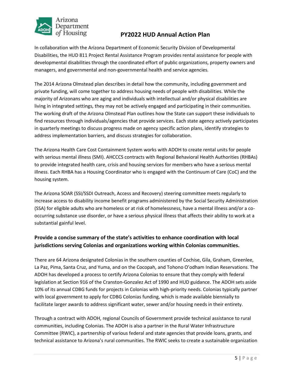

In collaboration with the Arizona Department of Economic Security Division of Developmental Disabilities, the HUD 811 Project Rental Assistance Program provides rental assistance for people with developmental disabilities through the coordinated effort of public organizations, property owners and managers, and governmental and non-governmental health and service agencies.

The 2014 Arizona Olmstead plan describes in detail how the community, including government and private funding, will come together to address housing needs of people with disabilities. While the majority of Arizonans who are aging and individuals with intellectual and/or physical disabilities are living in integrated settings, they may not be actively engaged and participating in their communities. The working draft of the Arizona Olmstead Plan outlines how the State can support these individuals to find resources through individuals/agencies that provide services. Each state agency actively participates in quarterly meetings to discuss progress made on agency specific action plans, identify strategies to address implementation barriers, and discuss strategies for collaboration.

The Arizona Health Care Cost Containment System works with ADOH to create rental units for people with serious mental illness (SMI). AHCCCS contracts with Regional Behavioral Health Authorities (RHBAs) to provide integrated health care, crisis and housing services for members who have a serious mental illness. Each RHBA has a Housing Coordinator who is engaged with the Continuum of Care (CoC) and the housing system.

The Arizona SOAR (SSI/SSDI Outreach, Access and Recovery) steering committee meets regularly to increase access to disability income benefit programs administered by the Social Security Administration (SSA) for eligible adults who are homeless or at risk of homelessness, have a mental illness and/or a cooccurring substance use disorder, or have a serious physical illness that affects their ability to work at a substantial gainful level.

### **Provide a concise summary of the state's activities to enhance coordination with local jurisdictions serving Colonias and organizations working within Colonias communities.**

There are 64 Arizona designated Colonias in the southern counties of Cochise, Gila, Graham, Greenlee, La Paz, Pima, Santa Cruz, and Yuma, and on the Cocopah, and Tohono O'odham Indian Reservations. The ADOH has developed a process to certify Arizona Colonias to ensure that they comply with federal legislation at Section 916 of the Cranston-Gonzalez Act of 1990 and HUD guidance. The ADOH sets aside 10% of its annual CDBG funds for projects in Colonias with high-priority needs. Colonias typically partner with local government to apply for CDBG Colonias funding, which is made available biennially to facilitate larger awards to address significant water, sewer and/or housing needs in their entirety.

Through a contract with ADOH, regional Councils of Government provide technical assistance to rural communities, including Colonias. The ADOH is also a partner in the Rural Water Infrastructure Committee (RWIC), a partnership of various federal and state agencies that provide loans, grants, and technical assistance to Arizona's rural communities. The RWIC seeks to create a sustainable organization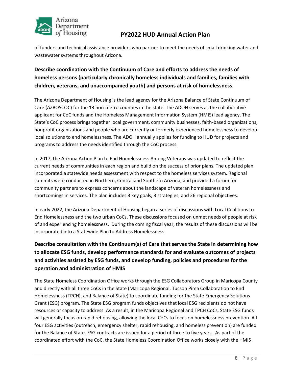

of funders and technical assistance providers who partner to meet the needs of small drinking water and wastewater systems throughout Arizona.

### **Describe coordination with the Continuum of Care and efforts to address the needs of homeless persons (particularly chronically homeless individuals and families, families with children, veterans, and unaccompanied youth) and persons at risk of homelessness.**

The Arizona Department of Housing is the lead agency for the Arizona Balance of State Continuum of Care (AZBOSCOC) for the 13 non-metro counties in the state. The ADOH serves as the collaborative applicant for CoC funds and the Homeless Management Information System (HMIS) lead agency. The State's CoC process brings together local government, community businesses, faith-based organizations, nonprofit organizations and people who are currently or formerly experienced homelessness to develop local solutions to end homelessness. The ADOH annually applies for funding to HUD for projects and programs to address the needs identified through the CoC process.

In 2017, the Arizona Action Plan to End Homelessness Among Veterans was updated to reflect the current needs of communities in each region and build on the success of prior plans. The updated plan incorporated a statewide needs assessment with respect to the homeless services system. Regional summits were conducted in Northern, Central and Southern Arizona, and provided a forum for community partners to express concerns about the landscape of veteran homelessness and shortcomings in services. The plan includes 3 key goals, 3 strategies, and 26 regional objectives.

In early 2022, the Arizona Department of Housing began a series of discussions with Local Coalitions to End Homelessness and the two urban CoCs. These discussions focused on unmet needs of people at risk of and experiencing homelessness. During the coming fiscal year, the results of these discussions will be incorporated into a Statewide Plan to Address Homelessness.

**Describe consultation with the Continuum(s) of Care that serves the State in determining how to allocate ESG funds, develop performance standards for and evaluate outcomes of projects and activities assisted by ESG funds, and develop funding, policies and procedures for the operation and administration of HMIS**

The State Homeless Coordination Office works through the ESG Collaborators Group in Maricopa County and directly with all three CoCs in the State (Maricopa Regional, Tucson Pima Collaboration to End Homelessness (TPCH), and Balance of State) to coordinate funding for the State Emergency Solutions Grant (ESG) program. The State ESG program funds objectives that local ESG recipients do not have resources or capacity to address. As a result, in the Maricopa Regional and TPCH CoCs, State ESG funds will generally focus on rapid rehousing, allowing the local CoCs to focus on homelessness prevention. All four ESG activities (outreach, emergency shelter, rapid rehousing, and homeless prevention) are funded for the Balance of State. ESG contracts are issued for a period of three to five years. As part of the coordinated effort with the CoC, the State Homeless Coordination Office works closely with the HMIS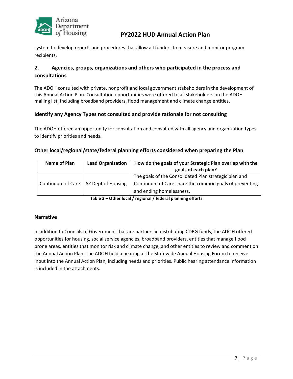

system to develop reports and procedures that allow all funders to measure and monitor program recipients.

### **2. Agencies, groups, organizations and others who participated in the process and consultations**

The ADOH consulted with private, nonprofit and local government stakeholders in the development of this Annual Action Plan. Consultation opportunities were offered to all stakeholders on the ADOH mailing list, including broadband providers, flood management and climate change entities.

#### **Identify any Agency Types not consulted and provide rationale for not consulting**

The ADOH offered an opportunity for consultation and consulted with all agency and organization types to identify priorities and needs.

#### **Other local/regional/state/federal planning efforts considered when preparing the Plan**

| Name of Plan | <b>Lead Organization</b>               | How do the goals of your Strategic Plan overlap with the |
|--------------|----------------------------------------|----------------------------------------------------------|
|              |                                        | goals of each plan?                                      |
|              |                                        | The goals of the Consolidated Plan strategic plan and    |
|              | Continuum of Care   AZ Dept of Housing | Continuum of Care share the common goals of preventing   |
|              |                                        | and ending homelessness.                                 |

**Table 2 – Other local / regional / federal planning efforts**

#### **Narrative**

In addition to Councils of Government that are partners in distributing CDBG funds, the ADOH offered opportunities for housing, social service agencies, broadband providers, entities that manage flood prone areas, entities that monitor risk and climate change, and other entities to review and comment on the Annual Action Plan. The ADOH held a hearing at the Statewide Annual Housing Forum to receive input into the Annual Action Plan, including needs and priorities. Public hearing attendance information is included in the attachments.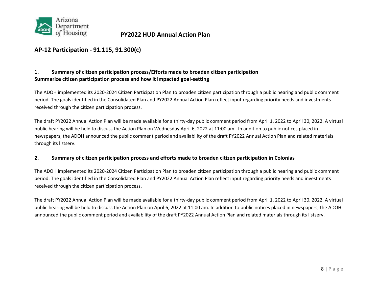

### **AP-12 Participation - 91.115, 91.300(c)**

#### **1. Summary of citizen participation process/Efforts made to broaden citizen participation Summarize citizen participation process and how it impacted goal-setting**

The ADOH implemented its 2020-2024 Citizen Participation Plan to broaden citizen participation through a public hearing and public comment period. The goals identified in the Consolidated Plan and PY2022 Annual Action Plan reflect input regarding priority needs and investments received through the citizen participation process.

<span id="page-9-0"></span>The draft PY2022 Annual Action Plan will be made available for a thirty-day public comment period from April 1, 2022 to April 30, 2022. A virtual public hearing will be held to discuss the Action Plan on Wednesday April 6, 2022 at 11:00 am. In addition to public notices placed in newspapers, the ADOH announced the public comment period and availability of the draft PY2022 Annual Action Plan and related materials through its listserv.

#### **2. Summary of citizen participation process and efforts made to broaden citizen participation in Colonias**

The ADOH implemented its 2020-2024 Citizen Participation Plan to broaden citizen participation through a public hearing and public comment period. The goals identified in the Consolidated Plan and PY2022 Annual Action Plan reflect input regarding priority needs and investments received through the citizen participation process.

The draft PY2022 Annual Action Plan will be made available for a thirty-day public comment period from April 1, 2022 to April 30, 2022. A virtual public hearing will be held to discuss the Action Plan on April 6, 2022 at 11:00 am. In addition to public notices placed in newspapers, the ADOH announced the public comment period and availability of the draft PY2022 Annual Action Plan and related materials through its listserv.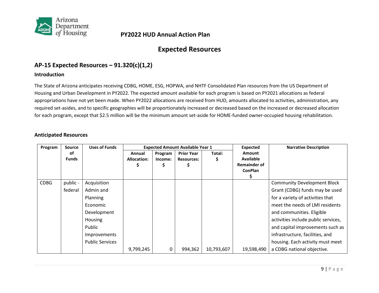

# **Expected Resources**

### **AP-15 Expected Resources – 91.320(c)(1,2)**

#### **Introduction**

The State of Arizona anticipates receiving CDBG, HOME, ESG, HOPWA, and NHTF Consolidated Plan resources from the US Department of Housing and Urban Development in PY2022. The expected amount available for each program is based on PY2021 allocations as federal appropriations have not yet been made. When PY2022 allocations are received from HUD, amounts allocated to activities, administration, any required set-asides, and to specific geographies will be proportionately increased or decreased based on the increased or decreased allocation for each program, except that \$2.5 million will be the minimum amount set-aside for HOME-funded owner-occupied housing rehabilitation.

#### <span id="page-10-0"></span>**Anticipated Resources**

<span id="page-10-1"></span>

| Program     | <b>Source</b> | <b>Uses of Funds</b>   |                    |         | <b>Expected Amount Available Year 1</b> |            | <b>Expected</b>     | <b>Narrative Description</b>        |
|-------------|---------------|------------------------|--------------------|---------|-----------------------------------------|------------|---------------------|-------------------------------------|
|             | οf            |                        | Annual             | Program | <b>Prior Year</b>                       | Total:     | <b>Amount</b>       |                                     |
|             | <b>Funds</b>  |                        | <b>Allocation:</b> | Income: | <b>Resources:</b>                       | \$         | <b>Available</b>    |                                     |
|             |               |                        | Ş                  | \$      |                                         |            | <b>Remainder of</b> |                                     |
|             |               |                        |                    |         |                                         |            | <b>ConPlan</b>      |                                     |
|             |               |                        |                    |         |                                         |            |                     |                                     |
| <b>CDBG</b> | public -      | Acquisition            |                    |         |                                         |            |                     | <b>Community Development Block</b>  |
|             | federal       | Admin and              |                    |         |                                         |            |                     | Grant (CDBG) funds may be used      |
|             |               | Planning               |                    |         |                                         |            |                     | for a variety of activities that    |
|             |               | Economic               |                    |         |                                         |            |                     | meet the needs of LMI residents     |
|             |               | Development            |                    |         |                                         |            |                     | and communities. Eligible           |
|             |               | Housing                |                    |         |                                         |            |                     | activities include public services, |
|             |               | Public                 |                    |         |                                         |            |                     | and capital improvements such as    |
|             |               | Improvements           |                    |         |                                         |            |                     | infrastructure, facilities, and     |
|             |               | <b>Public Services</b> |                    |         |                                         |            |                     | housing. Each activity must meet    |
|             |               |                        | 9,799,245          | 0       | 994,362                                 | 10,793,607 | 19,598,490          | a CDBG national objective.          |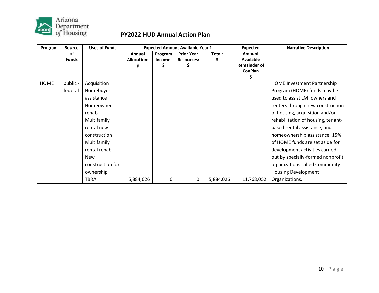

| Program     | <b>Source</b> | <b>Uses of Funds</b> |                    | <b>Expected Amount Available Year 1</b> |                   |           | <b>Expected</b>     | <b>Narrative Description</b>       |
|-------------|---------------|----------------------|--------------------|-----------------------------------------|-------------------|-----------|---------------------|------------------------------------|
|             | οf            |                      | Annual             | Program                                 | <b>Prior Year</b> | Total:    | <b>Amount</b>       |                                    |
|             | <b>Funds</b>  |                      | <b>Allocation:</b> | Income:                                 | <b>Resources:</b> | \$        | Available           |                                    |
|             |               |                      |                    |                                         |                   |           | <b>Remainder of</b> |                                    |
|             |               |                      |                    |                                         |                   |           | <b>ConPlan</b>      |                                    |
|             |               |                      |                    |                                         |                   |           | \$                  |                                    |
| <b>HOME</b> | public -      | Acquisition          |                    |                                         |                   |           |                     | <b>HOME Investment Partnership</b> |
|             | federal       | Homebuyer            |                    |                                         |                   |           |                     | Program (HOME) funds may be        |
|             |               | assistance           |                    |                                         |                   |           |                     | used to assist LMI owners and      |
|             |               | Homeowner            |                    |                                         |                   |           |                     | renters through new construction   |
|             |               | rehab                |                    |                                         |                   |           |                     | of housing, acquisition and/or     |
|             |               | Multifamily          |                    |                                         |                   |           |                     | rehabilitation of housing, tenant- |
|             |               | rental new           |                    |                                         |                   |           |                     | based rental assistance, and       |
|             |               | construction         |                    |                                         |                   |           |                     | homeownership assistance. 15%      |
|             |               | Multifamily          |                    |                                         |                   |           |                     | of HOME funds are set aside for    |
|             |               | rental rehab         |                    |                                         |                   |           |                     | development activities carried     |
|             |               | <b>New</b>           |                    |                                         |                   |           |                     | out by specially-formed nonprofit  |
|             |               | construction for     |                    |                                         |                   |           |                     | organizations called Community     |
|             |               | ownership            |                    |                                         |                   |           |                     | <b>Housing Development</b>         |
|             |               | <b>TBRA</b>          | 5,884,026          | 0                                       | 0                 | 5,884,026 | 11,768,052          | Organizations.                     |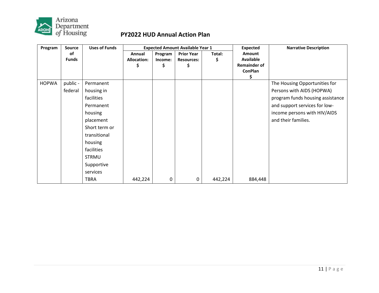

| Program      | <b>Source</b> | <b>Uses of Funds</b> |                    | <b>Expected Amount Available Year 1</b> |                   |         | Expected            | <b>Narrative Description</b>     |  |  |
|--------------|---------------|----------------------|--------------------|-----------------------------------------|-------------------|---------|---------------------|----------------------------------|--|--|
|              | оf            |                      | Annual             | Program                                 | <b>Prior Year</b> | Total:  | Amount              |                                  |  |  |
|              | <b>Funds</b>  |                      | <b>Allocation:</b> | Income:                                 | <b>Resources:</b> | \$      | Available           |                                  |  |  |
|              |               |                      | Ş                  | Ş                                       | Ş                 |         | <b>Remainder of</b> |                                  |  |  |
|              |               |                      |                    |                                         |                   |         | <b>ConPlan</b><br>Ş |                                  |  |  |
| <b>HOPWA</b> | public -      | Permanent            |                    |                                         |                   |         |                     | The Housing Opportunities for    |  |  |
|              | federal       | housing in           |                    |                                         |                   |         |                     | Persons with AIDS (HOPWA)        |  |  |
|              |               | facilities           |                    |                                         |                   |         |                     | program funds housing assistance |  |  |
|              |               | Permanent            |                    |                                         |                   |         |                     | and support services for low-    |  |  |
|              |               | housing              |                    |                                         |                   |         |                     | income persons with HIV/AIDS     |  |  |
|              |               | placement            |                    |                                         |                   |         |                     | and their families.              |  |  |
|              |               | Short term or        |                    |                                         |                   |         |                     |                                  |  |  |
|              |               | transitional         |                    |                                         |                   |         |                     |                                  |  |  |
|              |               | housing              |                    |                                         |                   |         |                     |                                  |  |  |
|              |               | facilities           |                    |                                         |                   |         |                     |                                  |  |  |
|              |               | <b>STRMU</b>         |                    |                                         |                   |         |                     |                                  |  |  |
|              |               | Supportive           |                    |                                         |                   |         |                     |                                  |  |  |
|              |               | services             |                    |                                         |                   |         |                     |                                  |  |  |
|              |               | <b>TBRA</b>          | 442,224            | 0                                       | 0                 | 442,224 | 884,448             |                                  |  |  |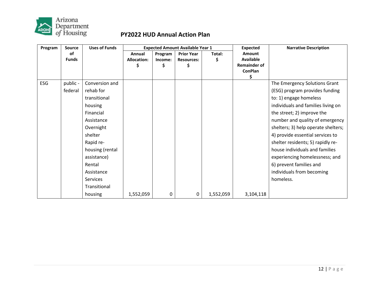

| Program | <b>Source</b>      | <b>Uses of Funds</b> |                                   | <b>Expected Amount Available Year 1</b> |                                              |             | <b>Expected</b>                                                           | <b>Narrative Description</b>        |
|---------|--------------------|----------------------|-----------------------------------|-----------------------------------------|----------------------------------------------|-------------|---------------------------------------------------------------------------|-------------------------------------|
|         | 0f<br><b>Funds</b> |                      | Annual<br><b>Allocation:</b><br>Ś | Program<br>Income:<br>\$                | <b>Prior Year</b><br><b>Resources:</b><br>\$ | Total:<br>Ş | Amount<br><b>Available</b><br><b>Remainder of</b><br><b>ConPlan</b><br>\$ |                                     |
| ESG     | public -           | Conversion and       |                                   |                                         |                                              |             |                                                                           | The Emergency Solutions Grant       |
|         | federal            | rehab for            |                                   |                                         |                                              |             |                                                                           | (ESG) program provides funding      |
|         |                    | transitional         |                                   |                                         |                                              |             |                                                                           | to: 1) engage homeless              |
|         |                    | housing              |                                   |                                         |                                              |             |                                                                           | individuals and families living on  |
|         |                    | Financial            |                                   |                                         |                                              |             |                                                                           | the street; 2) improve the          |
|         |                    | Assistance           |                                   |                                         |                                              |             |                                                                           | number and quality of emergency     |
|         |                    | Overnight            |                                   |                                         |                                              |             |                                                                           | shelters; 3) help operate shelters; |
|         |                    | shelter              |                                   |                                         |                                              |             |                                                                           | 4) provide essential services to    |
|         |                    | Rapid re-            |                                   |                                         |                                              |             |                                                                           | shelter residents; 5) rapidly re-   |
|         |                    | housing (rental      |                                   |                                         |                                              |             |                                                                           | house individuals and families      |
|         |                    | assistance)          |                                   |                                         |                                              |             |                                                                           | experiencing homelessness; and      |
|         |                    | Rental               |                                   |                                         |                                              |             |                                                                           | 6) prevent families and             |
|         |                    | Assistance           |                                   |                                         |                                              |             |                                                                           | individuals from becoming           |
|         |                    | <b>Services</b>      |                                   |                                         |                                              |             |                                                                           | homeless.                           |
|         |                    | Transitional         |                                   |                                         |                                              |             |                                                                           |                                     |
|         |                    | housing              | 1,552,059                         | 0                                       | 0                                            | 1,552,059   | 3,104,118                                                                 |                                     |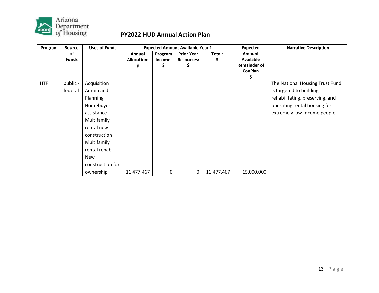

| Program    | <b>Source</b>      | <b>Uses of Funds</b> |                                    |                          | <b>Expected Amount Available Year 1</b>      |             | <b>Expected</b>                                                     | <b>Narrative Description</b>    |
|------------|--------------------|----------------------|------------------------------------|--------------------------|----------------------------------------------|-------------|---------------------------------------------------------------------|---------------------------------|
|            | 0f<br><b>Funds</b> |                      | Annual<br><b>Allocation:</b><br>Ş. | Program<br>Income:<br>\$ | <b>Prior Year</b><br><b>Resources:</b><br>\$ | Total:<br>S | Amount<br><b>Available</b><br><b>Remainder of</b><br><b>ConPlan</b> |                                 |
| <b>HTF</b> | public -           | Acquisition          |                                    |                          |                                              |             |                                                                     | The National Housing Trust Fund |
|            | federal            | Admin and            |                                    |                          |                                              |             |                                                                     | is targeted to building,        |
|            |                    | Planning             |                                    |                          |                                              |             |                                                                     | rehabilitating, preserving, and |
|            |                    | Homebuyer            |                                    |                          |                                              |             |                                                                     | operating rental housing for    |
|            |                    | assistance           |                                    |                          |                                              |             |                                                                     | extremely low-income people.    |
|            |                    | Multifamily          |                                    |                          |                                              |             |                                                                     |                                 |
|            |                    | rental new           |                                    |                          |                                              |             |                                                                     |                                 |
|            |                    | construction         |                                    |                          |                                              |             |                                                                     |                                 |
|            |                    | Multifamily          |                                    |                          |                                              |             |                                                                     |                                 |
|            |                    | rental rehab         |                                    |                          |                                              |             |                                                                     |                                 |
|            |                    | <b>New</b>           |                                    |                          |                                              |             |                                                                     |                                 |
|            |                    | construction for     |                                    |                          |                                              |             |                                                                     |                                 |
|            |                    | ownership            | 11,477,467                         | 0                        | 0                                            | 11,477,467  | 15,000,000                                                          |                                 |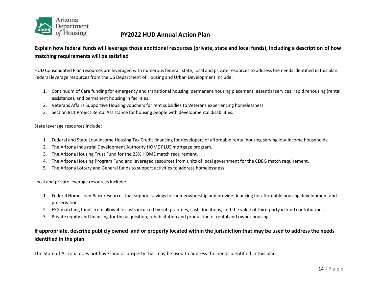

### **Explain how federal funds will leverage those additional resources (private, state and local funds), including a description of how matching requirements will be satisfied**

HUD Consolidated Plan resources are leveraged with numerous federal, state, local and private resources to address the needs identified in this plan. Federal leverage resources from the US Department of Housing and Urban Development include:

- 1. Continuum of Care funding for emergency and transitional housing, permanent housing placement, essential services, rapid rehousing (rental assistance), and permanent housing in facilities.
- 2. Veterans Affairs Supportive Housing vouchers for rent subsidies to Veterans experiencing homelessness.
- 3. Section 811 Project Rental Assistance for housing people with developmental disabilities.

#### State leverage resources include:

- 1. Federal and State Low-income Housing Tax Credit financing for developers of affordable rental housing serving low-income households.
- 2. The Arizona Industrial Development Authority HOME PLUS mortgage program.
- 3. The Arizona Housing Trust Fund for the 25% HOME match requirement.
- 4. The Arizona Housing Program Fund and leveraged resources from units of local government for the CDBG match requirement.
- 5. The Arizona Lottery and General funds to support activities to address homelessness.

Local and private leverage resources include:

- 1. Federal Home Loan Bank resources that support savings for homeownership and provide financing for affordable housing development and preservation.
- 2. ESG matching funds from allowable costs incurred by sub-grantees, cash donations, and the value of third-party in-kind contributions.
- 3. Private equity and financing for the acquisition, rehabilitation and production of rental and owner housing.

### **If appropriate, describe publicly owned land or property located within the jurisdiction that may be used to address the needs identified in the plan**

The State of Arizona does not have land or property that may be used to address the needs identified in this plan.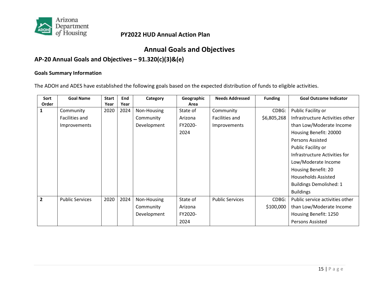

# **Annual Goals and Objectives**

# **AP-20 Annual Goals and Objectives – 91.320(c)(3)&(e)**

#### **Goals Summary Information**

The ADOH and ADES have established the following goals based on the expected distribution of funds to eligible activities.

<span id="page-16-0"></span>

| Sort           | <b>Goal Name</b>       | <b>Start</b> | End  | Category    | Geographic | <b>Needs Addressed</b> | <b>Funding</b> | <b>Goal Outcome Indicator</b>   |
|----------------|------------------------|--------------|------|-------------|------------|------------------------|----------------|---------------------------------|
| Order          |                        | Year         | Year |             | Area       |                        |                |                                 |
| 1              | Community              | 2020         | 2024 | Non-Housing | State of   | Community              | CDBG:          | Public Facility or              |
|                | Facilities and         |              |      | Community   | Arizona    | Facilities and         | \$6,805,268    | Infrastructure Activities other |
|                | Improvements           |              |      | Development | FY2020-    | Improvements           |                | than Low/Moderate Income        |
|                |                        |              |      |             | 2024       |                        |                | Housing Benefit: 20000          |
|                |                        |              |      |             |            |                        |                | <b>Persons Assisted</b>         |
|                |                        |              |      |             |            |                        |                | Public Facility or              |
|                |                        |              |      |             |            |                        |                | Infrastructure Activities for   |
|                |                        |              |      |             |            |                        |                | Low/Moderate Income             |
|                |                        |              |      |             |            |                        |                | Housing Benefit: 20             |
|                |                        |              |      |             |            |                        |                | <b>Households Assisted</b>      |
|                |                        |              |      |             |            |                        |                | <b>Buildings Demolished: 1</b>  |
|                |                        |              |      |             |            |                        |                | <b>Buildings</b>                |
| $\overline{2}$ | <b>Public Services</b> | 2020         | 2024 | Non-Housing | State of   | <b>Public Services</b> | CDBG:          | Public service activities other |
|                |                        |              |      | Community   | Arizona    |                        | \$100,000      | than Low/Moderate Income        |
|                |                        |              |      | Development | FY2020-    |                        |                | Housing Benefit: 1250           |
|                |                        |              |      |             | 2024       |                        |                | Persons Assisted                |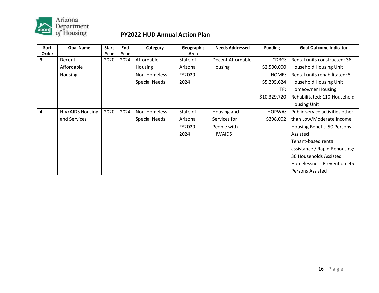

| Sort  | <b>Goal Name</b> | <b>Start</b> | End  | Category             | Geographic | <b>Needs Addressed</b> | <b>Funding</b> | <b>Goal Outcome Indicator</b>   |
|-------|------------------|--------------|------|----------------------|------------|------------------------|----------------|---------------------------------|
| Order |                  | Year         | Year |                      | Area       |                        |                |                                 |
| 3     | Decent           | 2020         | 2024 | Affordable           | State of   | Decent Affordable      | CDBG:          | Rental units constructed: 36    |
|       | Affordable       |              |      | Housing              | Arizona    | <b>Housing</b>         | \$2,500,000    | Household Housing Unit          |
|       | Housing          |              |      | Non-Homeless         | FY2020-    |                        | HOME:          | Rental units rehabilitated: 5   |
|       |                  |              |      | <b>Special Needs</b> | 2024       |                        | \$5,295,624    | Household Housing Unit          |
|       |                  |              |      |                      |            |                        | HTF:           | <b>Homeowner Housing</b>        |
|       |                  |              |      |                      |            |                        | \$10,329,720   | Rehabilitated: 110 Household    |
|       |                  |              |      |                      |            |                        |                | <b>Housing Unit</b>             |
| 4     | HIV/AIDS Housing | 2020         | 2024 | Non-Homeless         | State of   | Housing and            | HOPWA:         | Public service activities other |
|       | and Services     |              |      | <b>Special Needs</b> | Arizona    | Services for           | \$398,002      | than Low/Moderate Income        |
|       |                  |              |      |                      | FY2020-    | People with            |                | Housing Benefit: 50 Persons     |
|       |                  |              |      |                      | 2024       | HIV/AIDS               |                | Assisted                        |
|       |                  |              |      |                      |            |                        |                | Tenant-based rental             |
|       |                  |              |      |                      |            |                        |                | assistance / Rapid Rehousing:   |
|       |                  |              |      |                      |            |                        |                | 30 Households Assisted          |
|       |                  |              |      |                      |            |                        |                | Homelessness Prevention: 45     |
|       |                  |              |      |                      |            |                        |                | <b>Persons Assisted</b>         |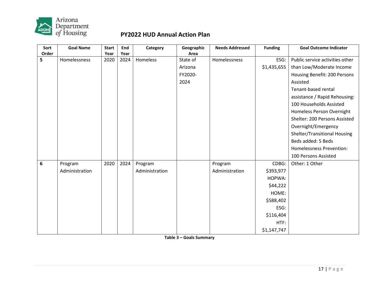

| Sort           | <b>Goal Name</b> | <b>Start</b> | End  | Category       | Geographic | <b>Needs Addressed</b> | <b>Funding</b> | <b>Goal Outcome Indicator</b>   |
|----------------|------------------|--------------|------|----------------|------------|------------------------|----------------|---------------------------------|
| Order          |                  | Year         | Year |                | Area       |                        |                |                                 |
| 5              | Homelessness     | 2020         | 2024 | Homeless       | State of   | Homelessness           | ESG:           | Public service activities other |
|                |                  |              |      |                | Arizona    |                        | \$1,435,655    | than Low/Moderate Income        |
|                |                  |              |      |                | FY2020-    |                        |                | Housing Benefit: 200 Persons    |
|                |                  |              |      |                | 2024       |                        |                | Assisted                        |
|                |                  |              |      |                |            |                        |                | Tenant-based rental             |
|                |                  |              |      |                |            |                        |                | assistance / Rapid Rehousing:   |
|                |                  |              |      |                |            |                        |                | 100 Households Assisted         |
|                |                  |              |      |                |            |                        |                | Homeless Person Overnight       |
|                |                  |              |      |                |            |                        |                | Shelter: 200 Persons Assisted   |
|                |                  |              |      |                |            |                        |                | Overnight/Emergency             |
|                |                  |              |      |                |            |                        |                | Shelter/Transitional Housing    |
|                |                  |              |      |                |            |                        |                | Beds added: 5 Beds              |
|                |                  |              |      |                |            |                        |                | Homelessness Prevention:        |
|                |                  |              |      |                |            |                        |                | 100 Persons Assisted            |
| $6\phantom{1}$ | Program          | 2020         | 2024 | Program        |            | Program                | CDBG:          | Other: 1 Other                  |
|                | Administration   |              |      | Administration |            | Administration         | \$393,977      |                                 |
|                |                  |              |      |                |            |                        | HOPWA:         |                                 |
|                |                  |              |      |                |            |                        | \$44,222       |                                 |
|                |                  |              |      |                |            |                        | HOME:          |                                 |
|                |                  |              |      |                |            |                        | \$588,402      |                                 |
|                |                  |              |      |                |            |                        | ESG:           |                                 |
|                |                  |              |      |                |            |                        | \$116,404      |                                 |
|                |                  |              |      |                |            |                        | HTF:           |                                 |
|                |                  |              |      |                |            |                        | \$1,147,747    |                                 |

**Table 3 – Goals Summary**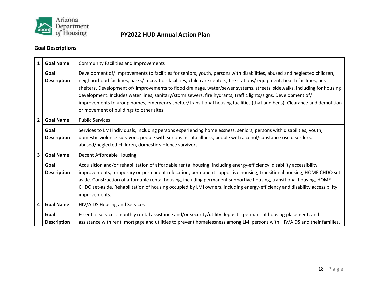

### **Goal Descriptions**

| 1              | <b>Goal Name</b>           | <b>Community Facilities and Improvements</b>                                                                                                                                                                                                                                                                                                                                                                                                                                                                                                                                                                                                                                |
|----------------|----------------------------|-----------------------------------------------------------------------------------------------------------------------------------------------------------------------------------------------------------------------------------------------------------------------------------------------------------------------------------------------------------------------------------------------------------------------------------------------------------------------------------------------------------------------------------------------------------------------------------------------------------------------------------------------------------------------------|
|                | Goal<br><b>Description</b> | Development of/improvements to facilities for seniors, youth, persons with disabilities, abused and neglected children,<br>neighborhood facilities, parks/ recreation facilities, child care centers, fire stations/ equipment, health facilities, bus<br>shelters. Development of/improvements to flood drainage, water/sewer systems, streets, sidewalks, including for housing<br>development. Includes water lines, sanitary/storm sewers, fire hydrants, traffic lights/signs. Development of/<br>improvements to group homes, emergency shelter/transitional housing facilities (that add beds). Clearance and demolition<br>or movement of buildings to other sites. |
| $\overline{2}$ | <b>Goal Name</b>           | <b>Public Services</b>                                                                                                                                                                                                                                                                                                                                                                                                                                                                                                                                                                                                                                                      |
|                | Goal<br><b>Description</b> | Services to LMI individuals, including persons experiencing homelessness, seniors, persons with disabilities, youth,<br>domestic violence survivors, people with serious mental illness, people with alcohol/substance use disorders,<br>abused/neglected children, domestic violence survivors.                                                                                                                                                                                                                                                                                                                                                                            |
| 3              | <b>Goal Name</b>           | Decent Affordable Housing                                                                                                                                                                                                                                                                                                                                                                                                                                                                                                                                                                                                                                                   |
|                | Goal<br><b>Description</b> | Acquisition and/or rehabilitation of affordable rental housing, including energy-efficiency, disability accessibility<br>improvements, temporary or permanent relocation, permanent supportive housing, transitional housing, HOME CHDO set-<br>aside. Construction of affordable rental housing, including permanent supportive housing, transitional housing, HOME<br>CHDO set-aside. Rehabilitation of housing occupied by LMI owners, including energy-efficiency and disability accessibility<br>improvements.                                                                                                                                                         |
| 4              | <b>Goal Name</b>           | HIV/AIDS Housing and Services                                                                                                                                                                                                                                                                                                                                                                                                                                                                                                                                                                                                                                               |
|                | Goal<br><b>Description</b> | Essential services, monthly rental assistance and/or security/utility deposits, permanent housing placement, and<br>assistance with rent, mortgage and utilities to prevent homelessness among LMI persons with HIV/AIDS and their families.                                                                                                                                                                                                                                                                                                                                                                                                                                |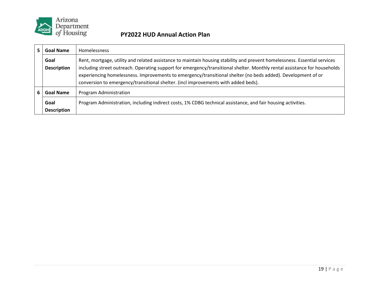

| Goal Name                  | <b>Homelessness</b>                                                                                                                                                                                                                                                                                                                                                                                                                                          |
|----------------------------|--------------------------------------------------------------------------------------------------------------------------------------------------------------------------------------------------------------------------------------------------------------------------------------------------------------------------------------------------------------------------------------------------------------------------------------------------------------|
| Goal<br><b>Description</b> | Rent, mortgage, utility and related assistance to maintain housing stability and prevent homelessness. Essential services<br>including street outreach. Operating support for emergency/transitional shelter. Monthly rental assistance for households<br>experiencing homelessness. Improvements to emergency/transitional shelter (no beds added). Development of or<br>conversion to emergency/transitional shelter. (incl improvements with added beds). |
| <b>Goal Name</b>           | Program Administration                                                                                                                                                                                                                                                                                                                                                                                                                                       |
| Goal<br><b>Description</b> | Program Administration, including indirect costs, 1% CDBG technical assistance, and fair housing activities.                                                                                                                                                                                                                                                                                                                                                 |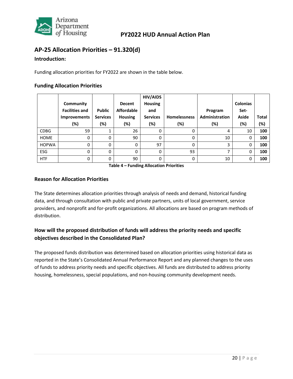

### <span id="page-21-0"></span>**AP-25 Allocation Priorities – 91.320(d)**

#### **Introduction:**

Funding allocation priorities for FY2022 are shown in the table below.

#### **Funding Allocation Priorities**

|              |                       |                 |                   | <b>HIV/AIDS</b> |                     |                |                 |              |
|--------------|-----------------------|-----------------|-------------------|-----------------|---------------------|----------------|-----------------|--------------|
|              | Community             |                 | <b>Decent</b>     | <b>Housing</b>  |                     |                | <b>Colonias</b> |              |
|              | <b>Facilities and</b> | <b>Public</b>   | <b>Affordable</b> | and             |                     | Program        | Set-            |              |
|              | <b>Improvements</b>   | <b>Services</b> | <b>Housing</b>    | <b>Services</b> | <b>Homelessness</b> | Administration | Aside           | <b>Total</b> |
|              | (%)                   | (%)             | (%)               | (%)             | (%)                 | (%)            | (%)             | (%)          |
| <b>CDBG</b>  | 59                    |                 | 26                | 0               | 0                   | 4              | 10              | 100          |
| <b>HOME</b>  | 0                     | 0               | 90                | 0               | 0                   | 10             | 0               | 100          |
| <b>HOPWA</b> | 0                     | 0               | 0                 | 97              | 0                   | 3              | 0               | 100          |
| <b>ESG</b>   | 0                     | $\Omega$        | 0                 | 0               | 93                  | 7              | 0               | 100          |
| <b>HTF</b>   | 0                     | $\Omega$        | 90                | 0               | 0                   | 10             | 0               | 100          |

**Table 4 – Funding Allocation Priorities**

#### **Reason for Allocation Priorities**

The State determines allocation priorities through analysis of needs and demand, historical funding data, and through consultation with public and private partners, units of local government, service providers, and nonprofit and for-profit organizations. All allocations are based on program methods of distribution.

### **How will the proposed distribution of funds will address the priority needs and specific objectives described in the Consolidated Plan?**

The proposed funds distribution was determined based on allocation priorities using historical data as reported in the State's Consolidated Annual Performance Report and any planned changes to the uses of funds to address priority needs and specific objectives. All funds are distributed to address priority housing, homelessness, special populations, and non-housing community development needs.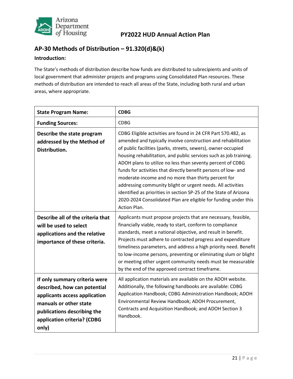

# <span id="page-22-0"></span>**AP-30 Methods of Distribution – 91.320(d)&(k)**

#### **Introduction:**

The State's methods of distribution describe how funds are distributed to subrecipients and units of local government that administer projects and programs using Consolidated Plan resources. These methods of distribution are intended to reach all areas of the State, including both rural and urban areas, where appropriate.

| <b>State Program Name:</b>                                                                                                                                                                      | <b>CDBG</b>                                                                                                                                                                                                                                                                                                                                                                                                                                                                                                                                                                                                                                                                               |
|-------------------------------------------------------------------------------------------------------------------------------------------------------------------------------------------------|-------------------------------------------------------------------------------------------------------------------------------------------------------------------------------------------------------------------------------------------------------------------------------------------------------------------------------------------------------------------------------------------------------------------------------------------------------------------------------------------------------------------------------------------------------------------------------------------------------------------------------------------------------------------------------------------|
| <b>Funding Sources:</b>                                                                                                                                                                         | <b>CDBG</b>                                                                                                                                                                                                                                                                                                                                                                                                                                                                                                                                                                                                                                                                               |
| Describe the state program<br>addressed by the Method of<br>Distribution.                                                                                                                       | CDBG Eligible activities are found in 24 CFR Part 570.482, as<br>amended and typically involve construction and rehabilitation<br>of public facilities (parks, streets, sewers), owner-occupied<br>housing rehabilitation, and public services such as job training.<br>ADOH plans to utilize no less than seventy percent of CDBG<br>funds for activities that directly benefit persons of low- and<br>moderate-income and no more than thirty percent for<br>addressing community blight or urgent needs. All activities<br>identified as priorities in section SP-25 of the State of Arizona<br>2020-2024 Consolidated Plan are eligible for funding under this<br><b>Action Plan.</b> |
| Describe all of the criteria that<br>will be used to select<br>applications and the relative<br>importance of these criteria.                                                                   | Applicants must propose projects that are necessary, feasible,<br>financially viable, ready to start, conform to compliance<br>standards, meet a national objective, and result in benefit.<br>Projects must adhere to contracted progress and expenditure<br>timeliness parameters, and address a high priority need. Benefit<br>to low-income persons, preventing or eliminating slum or blight<br>or meeting other urgent community needs must be measurable<br>by the end of the approved contract timeframe.                                                                                                                                                                         |
| If only summary criteria were<br>described, how can potential<br>applicants access application<br>manuals or other state<br>publications describing the<br>application criteria? (CDBG<br>only) | All application materials are available on the ADOH website.<br>Additionally, the following handbooks are available: CDBG<br>Application Handbook; CDBG Administration Handbook; ADOH<br>Environmental Review Handbook; ADOH Procurement,<br>Contracts and Acquisition Handbook; and ADOH Section 3<br>Handbook.                                                                                                                                                                                                                                                                                                                                                                          |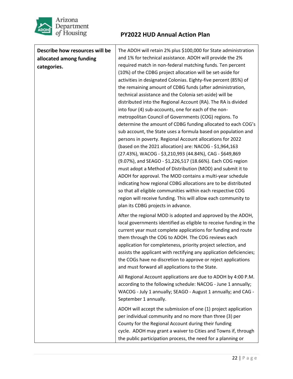

| Describe how resources will be | The ADOH will retain 2% plus \$100,000 for State administration                                                                                                                                                                                                                                                                                                                                                                                                                                                                                                                                                                                                                                                                                                                                                                                                                                                                                                                                                                                                                                                                                                                                                                                            |
|--------------------------------|------------------------------------------------------------------------------------------------------------------------------------------------------------------------------------------------------------------------------------------------------------------------------------------------------------------------------------------------------------------------------------------------------------------------------------------------------------------------------------------------------------------------------------------------------------------------------------------------------------------------------------------------------------------------------------------------------------------------------------------------------------------------------------------------------------------------------------------------------------------------------------------------------------------------------------------------------------------------------------------------------------------------------------------------------------------------------------------------------------------------------------------------------------------------------------------------------------------------------------------------------------|
| allocated among funding        | and 1% for technical assistance. ADOH will provide the 2%                                                                                                                                                                                                                                                                                                                                                                                                                                                                                                                                                                                                                                                                                                                                                                                                                                                                                                                                                                                                                                                                                                                                                                                                  |
| categories.                    | required match in non-federal matching funds. Ten percent<br>(10%) of the CDBG project allocation will be set-aside for<br>activities in designated Colonias. Eighty-five percent (85%) of<br>the remaining amount of CDBG funds (after administration,<br>technical assistance and the Colonia set-aside) will be<br>distributed into the Regional Account (RA). The RA is divided<br>into four (4) sub-accounts, one for each of the non-<br>metropolitan Council of Governments (COG) regions. To<br>determine the amount of CDBG funding allocated to each COG's<br>sub account, the State uses a formula based on population and<br>persons in poverty. Regional Account allocations for 2022<br>(based on the 2021 allocation) are: NACOG - \$1,964,163<br>(27.43%), WACOG - \$3,210,993 (44.84%), CAG - \$649,869<br>(9.07%), and SEAGO - \$1,226,517 (18.66%). Each COG region<br>must adopt a Method of Distribution (MOD) and submit it to<br>ADOH for approval. The MOD contains a multi-year schedule<br>indicating how regional CDBG allocations are to be distributed<br>so that all eligible communities within each respective COG<br>region will receive funding. This will allow each community to<br>plan its CDBG projects in advance. |
|                                | After the regional MOD is adopted and approved by the ADOH,<br>local governments identified as eligible to receive funding in the<br>current year must complete applications for funding and route<br>them through the COG to ADOH. The COG reviews each<br>application for completeness, priority project selection, and<br>assists the applicant with rectifying any application deficiencies;<br>the COGs have no discretion to approve or reject applications<br>and must forward all applications to the State.<br>All Regional Account applications are due to ADOH by 4:00 P.M.<br>according to the following schedule: NACOG - June 1 annually;<br>WACOG - July 1 annually; SEAGO - August 1 annually; and CAG -                                                                                                                                                                                                                                                                                                                                                                                                                                                                                                                                   |
|                                | September 1 annually.                                                                                                                                                                                                                                                                                                                                                                                                                                                                                                                                                                                                                                                                                                                                                                                                                                                                                                                                                                                                                                                                                                                                                                                                                                      |
|                                | ADOH will accept the submission of one (1) project application<br>per individual community and no more than three (3) per<br>County for the Regional Account during their funding<br>cycle. ADOH may grant a waiver to Cities and Towns if, through<br>the public participation process, the need for a planning or                                                                                                                                                                                                                                                                                                                                                                                                                                                                                                                                                                                                                                                                                                                                                                                                                                                                                                                                        |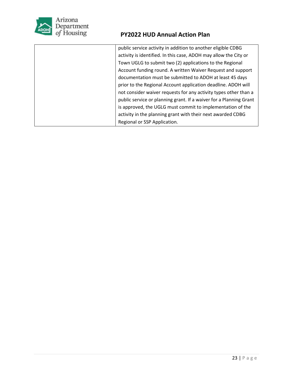

| public service activity in addition to another eligible CDBG       |
|--------------------------------------------------------------------|
| activity is identified. In this case, ADOH may allow the City or   |
| Town UGLG to submit two (2) applications to the Regional           |
| Account funding round. A written Waiver Request and support        |
| documentation must be submitted to ADOH at least 45 days           |
| prior to the Regional Account application deadline. ADOH will      |
| not consider waiver requests for any activity types other than a   |
| public service or planning grant. If a waiver for a Planning Grant |
| is approved, the UGLG must commit to implementation of the         |
| activity in the planning grant with their next awarded CDBG        |
| Regional or SSP Application.                                       |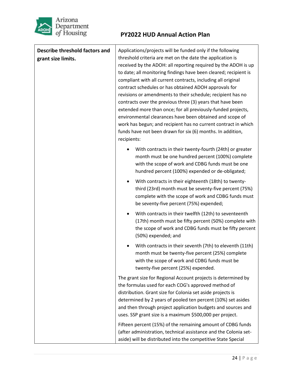

| <b>Describe threshold factors and</b> | Applications/projects will be funded only if the following                                                               |  |  |
|---------------------------------------|--------------------------------------------------------------------------------------------------------------------------|--|--|
| grant size limits.                    | threshold criteria are met on the date the application is                                                                |  |  |
|                                       | received by the ADOH: all reporting required by the ADOH is up                                                           |  |  |
|                                       | to date; all monitoring findings have been cleared; recipient is                                                         |  |  |
|                                       | compliant with all current contracts, including all original<br>contract schedules or has obtained ADOH approvals for    |  |  |
|                                       |                                                                                                                          |  |  |
|                                       | revisions or amendments to their schedule; recipient has no                                                              |  |  |
|                                       | contracts over the previous three (3) years that have been                                                               |  |  |
|                                       | extended more than once; for all previously-funded projects,<br>environmental clearances have been obtained and scope of |  |  |
|                                       | work has begun; and recipient has no current contract in which                                                           |  |  |
|                                       | funds have not been drawn for six (6) months. In addition,                                                               |  |  |
|                                       | recipients:                                                                                                              |  |  |
|                                       |                                                                                                                          |  |  |
|                                       | With contracts in their twenty-fourth (24th) or greater<br>month must be one hundred percent (100%) complete             |  |  |
|                                       | with the scope of work and CDBG funds must be one                                                                        |  |  |
|                                       | hundred percent (100%) expended or de-obligated;                                                                         |  |  |
|                                       | With contracts in their eighteenth (18th) to twenty-                                                                     |  |  |
|                                       | third (23rd) month must be seventy-five percent (75%)                                                                    |  |  |
|                                       | complete with the scope of work and CDBG funds must                                                                      |  |  |
|                                       | be seventy-five percent (75%) expended;                                                                                  |  |  |
|                                       | With contracts in their twelfth (12th) to seventeenth                                                                    |  |  |
|                                       | (17th) month must be fifty percent (50%) complete with                                                                   |  |  |
|                                       | the scope of work and CDBG funds must be fifty percent                                                                   |  |  |
|                                       | (50%) expended; and                                                                                                      |  |  |
|                                       | With contracts in their seventh (7th) to eleventh (11th)                                                                 |  |  |
|                                       | month must be twenty-five percent (25%) complete                                                                         |  |  |
|                                       | with the scope of work and CDBG funds must be                                                                            |  |  |
|                                       | twenty-five percent (25%) expended.                                                                                      |  |  |
|                                       | The grant size for Regional Account projects is determined by                                                            |  |  |
|                                       | the formulas used for each COG's approved method of                                                                      |  |  |
|                                       | distribution. Grant size for Colonia set aside projects is                                                               |  |  |
|                                       | determined by 2 years of pooled ten percent (10%) set asides                                                             |  |  |
|                                       | and then through project application budgets and sources and                                                             |  |  |
|                                       | uses. SSP grant size is a maximum \$500,000 per project.                                                                 |  |  |
|                                       | Fifteen percent (15%) of the remaining amount of CDBG funds                                                              |  |  |
|                                       | (after administration, technical assistance and the Colonia set-                                                         |  |  |
|                                       | aside) will be distributed into the competitive State Special                                                            |  |  |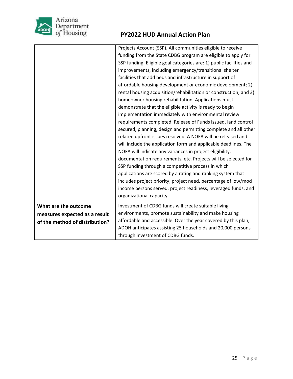

|                                | Projects Account (SSP). All communities eligible to receive         |
|--------------------------------|---------------------------------------------------------------------|
|                                | funding from the State CDBG program are eligible to apply for       |
|                                | SSP funding. Eligible goal categories are: 1) public facilities and |
|                                | improvements, including emergency/transitional shelter              |
|                                | facilities that add beds and infrastructure in support of           |
|                                | affordable housing development or economic development; 2)          |
|                                | rental housing acquisition/rehabilitation or construction; and 3)   |
|                                | homeowner housing rehabilitation. Applications must                 |
|                                | demonstrate that the eligible activity is ready to begin            |
|                                | implementation immediately with environmental review                |
|                                | requirements completed, Release of Funds issued, land control       |
|                                | secured, planning, design and permitting complete and all other     |
|                                | related upfront issues resolved. A NOFA will be released and        |
|                                | will include the application form and applicable deadlines. The     |
|                                | NOFA will indicate any variances in project eligibility,            |
|                                | documentation requirements, etc. Projects will be selected for      |
|                                | SSP funding through a competitive process in which                  |
|                                | applications are scored by a rating and ranking system that         |
|                                | includes project priority, project need, percentage of low/mod      |
|                                | income persons served, project readiness, leveraged funds, and      |
|                                | organizational capacity.                                            |
| What are the outcome           | Investment of CDBG funds will create suitable living                |
| measures expected as a result  | environments, promote sustainability and make housing               |
| of the method of distribution? | affordable and accessible. Over the year covered by this plan,      |
|                                | ADOH anticipates assisting 25 households and 20,000 persons         |
|                                | through investment of CDBG funds.                                   |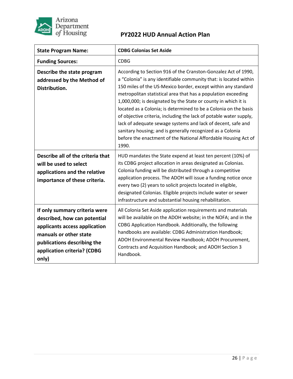

| <b>State Program Name:</b>                                                                                                                                                                      | <b>CDBG Colonias Set Aside</b>                                                                                                                                                                                                                                                                                                                                                                                                                                                                                                                                                                                                                                                             |
|-------------------------------------------------------------------------------------------------------------------------------------------------------------------------------------------------|--------------------------------------------------------------------------------------------------------------------------------------------------------------------------------------------------------------------------------------------------------------------------------------------------------------------------------------------------------------------------------------------------------------------------------------------------------------------------------------------------------------------------------------------------------------------------------------------------------------------------------------------------------------------------------------------|
| <b>Funding Sources:</b>                                                                                                                                                                         | <b>CDBG</b>                                                                                                                                                                                                                                                                                                                                                                                                                                                                                                                                                                                                                                                                                |
| Describe the state program<br>addressed by the Method of<br>Distribution.                                                                                                                       | According to Section 916 of the Cranston-Gonzalez Act of 1990,<br>a "Colonia" is any identifiable community that: is located within<br>150 miles of the US-Mexico border, except within any standard<br>metropolitan statistical area that has a population exceeding<br>1,000,000; is designated by the State or county in which it is<br>located as a Colonia; is determined to be a Colonia on the basis<br>of objective criteria, including the lack of potable water supply,<br>lack of adequate sewage systems and lack of decent, safe and<br>sanitary housing; and is generally recognized as a Colonia<br>before the enactment of the National Affordable Housing Act of<br>1990. |
| Describe all of the criteria that<br>will be used to select<br>applications and the relative<br>importance of these criteria.                                                                   | HUD mandates the State expend at least ten percent (10%) of<br>its CDBG project allocation in areas designated as Colonias.<br>Colonia funding will be distributed through a competitive<br>application process. The ADOH will issue a funding notice once<br>every two (2) years to solicit projects located in eligible,<br>designated Colonias. Eligible projects include water or sewer<br>infrastructure and substantial housing rehabilitation.                                                                                                                                                                                                                                      |
| If only summary criteria were<br>described, how can potential<br>applicants access application<br>manuals or other state<br>publications describing the<br>application criteria? (CDBG<br>only) | All Colonia Set Aside application requirements and materials<br>will be available on the ADOH website; in the NOFA; and in the<br>CDBG Application Handbook. Additionally, the following<br>handbooks are available: CDBG Administration Handbook;<br>ADOH Environmental Review Handbook; ADOH Procurement,<br>Contracts and Acquisition Handbook; and ADOH Section 3<br>Handbook.                                                                                                                                                                                                                                                                                                         |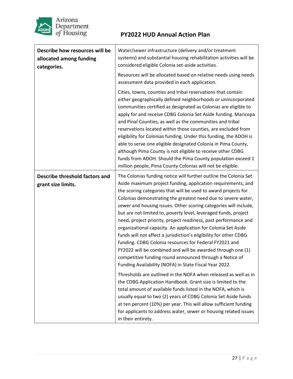

| Describe how resources will be<br>allocated among funding<br>categories. | Water/sewer infrastructure (delivery and/or treatment<br>systems) and substantial housing rehabilitation activities will be<br>considered eligible Colonia set-aside activities.<br>Resources will be allocated based on relative needs using needs<br>assessment data provided in each application.<br>Cities, towns, counties and tribal reservations that contain<br>either geographically defined neighborhoods or unincorporated<br>communities certified as designated as Colonias are eligible to<br>apply for and receive CDBG Colonia Set Aside funding. Maricopa<br>and Pinal Counties, as well as the communities and tribal<br>reservations located within those counties, are excluded from<br>eligibility for Colonias funding. Under this funding, the ADOH is<br>able to serve one eligible designated Colonia in Pima County,<br>although Pima County is not eligible to receive other CDBG                                                                                        |
|--------------------------------------------------------------------------|-----------------------------------------------------------------------------------------------------------------------------------------------------------------------------------------------------------------------------------------------------------------------------------------------------------------------------------------------------------------------------------------------------------------------------------------------------------------------------------------------------------------------------------------------------------------------------------------------------------------------------------------------------------------------------------------------------------------------------------------------------------------------------------------------------------------------------------------------------------------------------------------------------------------------------------------------------------------------------------------------------|
|                                                                          | funds from ADOH. Should the Pima County population exceed 1<br>million people, Pima County Colonias will not be eligible.                                                                                                                                                                                                                                                                                                                                                                                                                                                                                                                                                                                                                                                                                                                                                                                                                                                                           |
| Describe threshold factors and<br>grant size limits.                     | The Colonias funding notice will further outline the Colonia Set<br>Aside maximum project funding, application requirements, and<br>the scoring categories that will be used to award projects for<br>Colonias demonstrating the greatest need due to severe water,<br>sewer and housing issues. Other scoring categories will include,<br>but are not limited to, poverty level, leveraged funds, project<br>need, project priority, project readiness, past performance and<br>organizational capacity. An application for Colonia Set Aside<br>funds will not affect a jurisdiction's eligibility for other CDBG<br>funding. CDBG Colonia resources for Federal FY2021 and<br>FY2022 will be combined and will be awarded through one (1)<br>competitive funding round announced through a Notice of<br>Funding Availability (NOFA) in State Fiscal Year 2022.<br>Thresholds are outlined in the NOFA when released as well as in<br>the CDBG Application Handbook. Grant size is limited to the |
|                                                                          | total amount of available funds listed in the NOFA, which is<br>usually equal to two (2) years of CDBG Colonia Set Aside funds<br>at ten percent (10%) per year. This will allow sufficient funding<br>for applicants to address water, sewer or housing related issues<br>in their entirety.                                                                                                                                                                                                                                                                                                                                                                                                                                                                                                                                                                                                                                                                                                       |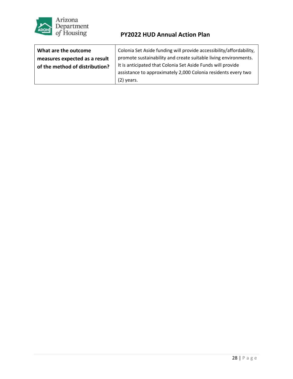

| What are the outcome           | Colonia Set Aside funding will provide accessibility/affordability, |
|--------------------------------|---------------------------------------------------------------------|
| measures expected as a result  | promote sustainability and create suitable living environments.     |
| of the method of distribution? | It is anticipated that Colonia Set Aside Funds will provide         |
|                                | assistance to approximately 2,000 Colonia residents every two       |
|                                | $(2)$ years.                                                        |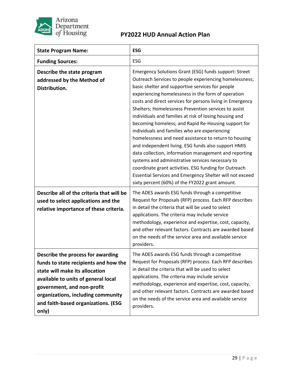

| <b>State Program Name:</b>                                                                                                                                                                                                                                              | <b>ESG</b>                                                                                                                                                                                                                                                                                                                                                                                                                                                                                                                                                                                                                                                                                                                                                                                                                                                                                                            |
|-------------------------------------------------------------------------------------------------------------------------------------------------------------------------------------------------------------------------------------------------------------------------|-----------------------------------------------------------------------------------------------------------------------------------------------------------------------------------------------------------------------------------------------------------------------------------------------------------------------------------------------------------------------------------------------------------------------------------------------------------------------------------------------------------------------------------------------------------------------------------------------------------------------------------------------------------------------------------------------------------------------------------------------------------------------------------------------------------------------------------------------------------------------------------------------------------------------|
| <b>Funding Sources:</b>                                                                                                                                                                                                                                                 | ESG                                                                                                                                                                                                                                                                                                                                                                                                                                                                                                                                                                                                                                                                                                                                                                                                                                                                                                                   |
| Describe the state program<br>addressed by the Method of<br>Distribution.                                                                                                                                                                                               | Emergency Solutions Grant (ESG) funds support: Street<br>Outreach Services to people experiencing homelessness;<br>basic shelter and supportive services for people<br>experiencing homelessness in the form of operation<br>costs and direct services for persons living in Emergency<br>Shelters; Homelessness Prevention services to assist<br>individuals and families at risk of losing housing and<br>becoming homeless; and Rapid Re-Housing support for<br>individuals and families who are experiencing<br>homelessness and need assistance to return to housing<br>and independent living. ESG funds also support HMIS<br>data collection, information management and reporting<br>systems and administrative services necessary to<br>coordinate grant activities. ESG funding for Outreach<br>Essential Services and Emergency Shelter will not exceed<br>sixty percent (60%) of the FY2022 grant amount. |
| Describe all of the criteria that will be<br>used to select applications and the<br>relative importance of these criteria.                                                                                                                                              | The ADES awards ESG funds through a competitive<br>Request for Proposals (RFP) process. Each RFP describes<br>in detail the criteria that will be used to select<br>applications. The criteria may include service<br>methodology, experience and expertise, cost, capacity,<br>and other relevant factors. Contracts are awarded based<br>on the needs of the service area and available service<br>providers.                                                                                                                                                                                                                                                                                                                                                                                                                                                                                                       |
| Describe the process for awarding<br>funds to state recipients and how the<br>state will make its allocation<br>available to units of general local<br>government, and non-profit<br>organizations, including community<br>and faith-based organizations. (ESG<br>only) | The ADES awards ESG funds through a competitive<br>Request for Proposals (RFP) process. Each RFP describes<br>in detail the criteria that will be used to select<br>applications. The criteria may include service<br>methodology, experience and expertise, cost, capacity,<br>and other relevant factors. Contracts are awarded based<br>on the needs of the service area and available service<br>providers.                                                                                                                                                                                                                                                                                                                                                                                                                                                                                                       |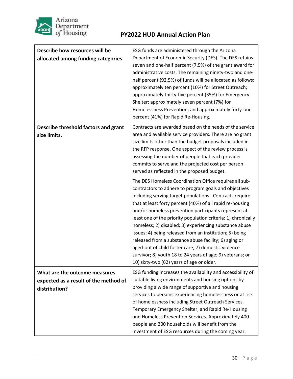

| Describe how resources will be<br>allocated among funding categories.                   | ESG funds are administered through the Arizona<br>Department of Economic Security (DES). The DES retains<br>seven and one-half percent (7.5%) of the grant award for<br>administrative costs. The remaining ninety-two and one-<br>half percent (92.5%) of funds will be allocated as follows:<br>approximately ten percent (10%) for Street Outreach;<br>approximately thirty-five percent (35%) for Emergency<br>Shelter; approximately seven percent (7%) for<br>Homelessness Prevention; and approximately forty-one<br>percent (41%) for Rapid Re-Housing.                                                                                                                                                 |
|-----------------------------------------------------------------------------------------|-----------------------------------------------------------------------------------------------------------------------------------------------------------------------------------------------------------------------------------------------------------------------------------------------------------------------------------------------------------------------------------------------------------------------------------------------------------------------------------------------------------------------------------------------------------------------------------------------------------------------------------------------------------------------------------------------------------------|
| Describe threshold factors and grant<br>size limits.                                    | Contracts are awarded based on the needs of the service<br>area and available service providers. There are no grant<br>size limits other than the budget proposals included in<br>the RFP response. One aspect of the review process is<br>assessing the number of people that each provider<br>commits to serve and the projected cost per person<br>served as reflected in the proposed budget.                                                                                                                                                                                                                                                                                                               |
|                                                                                         | The DES Homeless Coordination Office requires all sub-<br>contractors to adhere to program goals and objectives<br>including serving target populations. Contracts require<br>that at least forty percent (40%) of all rapid re-housing<br>and/or homeless prevention participants represent at<br>least one of the priority population criteria: 1) chronically<br>homeless; 2) disabled; 3) experiencing substance abuse<br>issues; 4) being released from an institution; 5) being<br>released from a substance abuse facility; 6) aging or<br>aged-out of child foster care; 7) domestic violence<br>survivor; 8) youth 18 to 24 years of age; 9) veterans; or<br>10) sixty-two (62) years of age or older. |
| What are the outcome measures<br>expected as a result of the method of<br>distribution? | ESG funding increases the availability and accessibility of<br>suitable living environments and housing options by<br>providing a wide range of supportive and housing<br>services to persons experiencing homelessness or at risk<br>of homelessness including Street Outreach Services,<br>Temporary Emergency Shelter, and Rapid Re-Housing<br>and Homeless Prevention Services. Approximately 400<br>people and 200 households will benefit from the<br>investment of ESG resources during the coming year.                                                                                                                                                                                                 |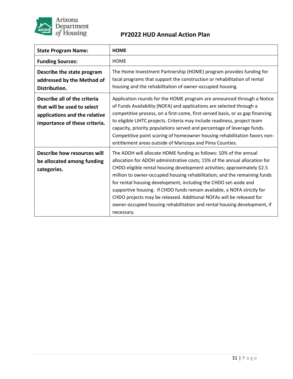

| <b>State Program Name:</b>                                                                                                    | <b>HOME</b>                                                                                                                                                                                                                                                                                                                                                                                                                                                                                                                                                                                                               |
|-------------------------------------------------------------------------------------------------------------------------------|---------------------------------------------------------------------------------------------------------------------------------------------------------------------------------------------------------------------------------------------------------------------------------------------------------------------------------------------------------------------------------------------------------------------------------------------------------------------------------------------------------------------------------------------------------------------------------------------------------------------------|
| <b>Funding Sources:</b>                                                                                                       | <b>HOME</b>                                                                                                                                                                                                                                                                                                                                                                                                                                                                                                                                                                                                               |
| Describe the state program<br>addressed by the Method of<br>Distribution.                                                     | The Home Investment Partnership (HOME) program provides funding for<br>local programs that support the construction or rehabilitation of rental<br>housing and the rehabilitation of owner-occupied housing.                                                                                                                                                                                                                                                                                                                                                                                                              |
| Describe all of the criteria<br>that will be used to select<br>applications and the relative<br>importance of these criteria. | Application rounds for the HOME program are announced through a Notice<br>of Funds Availability (NOFA) and applications are selected through a<br>competitive process, on a first-come, first-served basis, or as gap financing<br>to eligible LIHTC projects. Criteria may include readiness, project team<br>capacity, priority populations served and percentage of leverage funds.<br>Competitive point scoring of homeowner housing rehabilitation favors non-<br>entitlement areas outside of Maricopa and Pima Counties.                                                                                           |
| Describe how resources will<br>be allocated among funding<br>categories.                                                      | The ADOH will allocate HOME funding as follows: 10% of the annual<br>allocation for ADOH administrative costs; 15% of the annual allocation for<br>CHDO-eligible rental housing development activities; approximately \$2.5<br>million to owner-occupied housing rehabilitation; and the remaining funds<br>for rental housing development, including the CHDO set-aside and<br>supportive housing. If CHDO funds remain available, a NOFA strictly for<br>CHDO projects may be released. Additional NOFAs will be released for<br>owner-occupied housing rehabilitation and rental housing development, if<br>necessary. |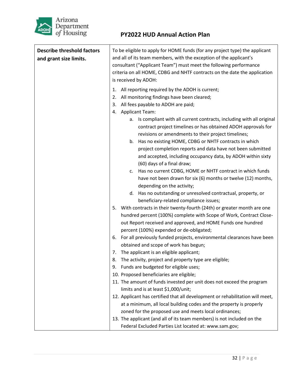

| <b>Describe threshold factors</b><br>and grant size limits. | To be eligible to apply for HOME funds (for any project type) the applicant<br>and all of its team members, with the exception of the applicant's<br>consultant ("Applicant Team") must meet the following performance<br>criteria on all HOME, CDBG and NHTF contracts on the date the application<br>is received by ADOH:                                                                                                                                                                                                                                                                                                                                                                                                                                                                                                                                                                                                                                                                                                                                                                                                                                                                                                                                                                                                                                                                                                                                                                            |
|-------------------------------------------------------------|--------------------------------------------------------------------------------------------------------------------------------------------------------------------------------------------------------------------------------------------------------------------------------------------------------------------------------------------------------------------------------------------------------------------------------------------------------------------------------------------------------------------------------------------------------------------------------------------------------------------------------------------------------------------------------------------------------------------------------------------------------------------------------------------------------------------------------------------------------------------------------------------------------------------------------------------------------------------------------------------------------------------------------------------------------------------------------------------------------------------------------------------------------------------------------------------------------------------------------------------------------------------------------------------------------------------------------------------------------------------------------------------------------------------------------------------------------------------------------------------------------|
|                                                             | All reporting required by the ADOH is current;<br>1.<br>All monitoring findings have been cleared;<br>2.<br>All fees payable to ADOH are paid;<br>3.<br><b>Applicant Team:</b><br>4.<br>a. Is compliant with all current contracts, including with all original<br>contract project timelines or has obtained ADOH approvals for<br>revisions or amendments to their project timelines;<br>Has no existing HOME, CDBG or NHTF contracts in which<br>b.<br>project completion reports and data have not been submitted<br>and accepted, including occupancy data, by ADOH within sixty<br>(60) days of a final draw;<br>Has no current CDBG, HOME or NHTF contract in which funds<br>c.<br>have not been drawn for six (6) months or twelve (12) months,<br>depending on the activity;<br>d. Has no outstanding or unresolved contractual, property, or<br>beneficiary-related compliance issues;<br>With contracts in their twenty-fourth (24th) or greater month are one<br>5.<br>hundred percent (100%) complete with Scope of Work, Contract Close-<br>out Report received and approved, and HOME Funds one hundred<br>percent (100%) expended or de-obligated;<br>For all previously funded projects, environmental clearances have been<br>6.<br>obtained and scope of work has begun;<br>The applicant is an eligible applicant;<br>7.<br>8.<br>The activity, project and property type are eligible;<br>Funds are budgeted for eligible uses;<br>9.<br>10. Proposed beneficiaries are eligible; |
|                                                             | 11. The amount of funds invested per unit does not exceed the program<br>limits and is at least \$1,000/unit;                                                                                                                                                                                                                                                                                                                                                                                                                                                                                                                                                                                                                                                                                                                                                                                                                                                                                                                                                                                                                                                                                                                                                                                                                                                                                                                                                                                          |
|                                                             | 12. Applicant has certified that all development or rehabilitation will meet,<br>at a minimum, all local building codes and the property is properly<br>zoned for the proposed use and meets local ordinances;<br>13. The applicant (and all of its team members) is not included on the                                                                                                                                                                                                                                                                                                                                                                                                                                                                                                                                                                                                                                                                                                                                                                                                                                                                                                                                                                                                                                                                                                                                                                                                               |
|                                                             | Federal Excluded Parties List located at: www.sam.gov;                                                                                                                                                                                                                                                                                                                                                                                                                                                                                                                                                                                                                                                                                                                                                                                                                                                                                                                                                                                                                                                                                                                                                                                                                                                                                                                                                                                                                                                 |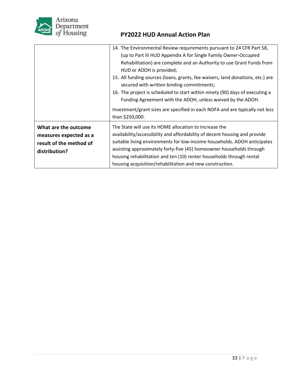

|                                                                                            | 14. The Environmental Review requirements pursuant to 24 CFR Part 58,<br>(up to Part III HUD Appendix A for Single Family Owner-Occupied<br>Rehabilitation) are complete and an Authority to use Grant Funds from<br>HUD or ADOH is provided;<br>15. All funding sources (loans, grants, fee waivers, land donations, etc.) are<br>secured with written binding commitments;<br>16. The project is scheduled to start within ninety (90) days of executing a<br>Funding Agreement with the ADOH, unless waived by the ADOH.<br>Investment/grant sizes are specified in each NOFA and are typically not less<br>than \$250,000. |
|--------------------------------------------------------------------------------------------|--------------------------------------------------------------------------------------------------------------------------------------------------------------------------------------------------------------------------------------------------------------------------------------------------------------------------------------------------------------------------------------------------------------------------------------------------------------------------------------------------------------------------------------------------------------------------------------------------------------------------------|
| What are the outcome<br>measures expected as a<br>result of the method of<br>distribution? | The State will use its HOME allocation to increase the<br>availability/accessibility and affordability of decent housing and provide<br>suitable living environments for low-income households. ADOH anticipates<br>assisting approximately forty-five (45) homeowner households through<br>housing rehabilitation and ten (10) renter households through rental<br>housing acquisition/rehabilitation and new construction.                                                                                                                                                                                                   |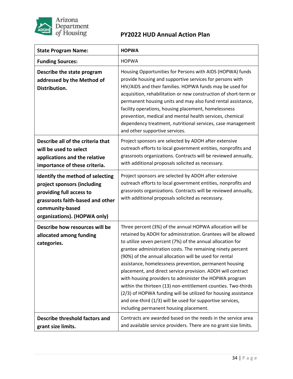

| <b>State Program Name:</b>                                                                                                                                                         | <b>HOPWA</b>                                                                                                                                                                                                                                                                                                                                                                                                                                                                                                                                                                                                                                                                                                                                  |
|------------------------------------------------------------------------------------------------------------------------------------------------------------------------------------|-----------------------------------------------------------------------------------------------------------------------------------------------------------------------------------------------------------------------------------------------------------------------------------------------------------------------------------------------------------------------------------------------------------------------------------------------------------------------------------------------------------------------------------------------------------------------------------------------------------------------------------------------------------------------------------------------------------------------------------------------|
| <b>Funding Sources:</b>                                                                                                                                                            | <b>HOPWA</b>                                                                                                                                                                                                                                                                                                                                                                                                                                                                                                                                                                                                                                                                                                                                  |
| Describe the state program<br>addressed by the Method of<br>Distribution.                                                                                                          | Housing Opportunities for Persons with AIDS (HOPWA) funds<br>provide housing and supportive services for persons with<br>HIV/AIDS and their families. HOPWA funds may be used for<br>acquisition, rehabilitation or new construction of short-term or<br>permanent housing units and may also fund rental assistance,<br>facility operations, housing placement, homelessness<br>prevention, medical and mental health services, chemical<br>dependency treatment, nutritional services, case management<br>and other supportive services.                                                                                                                                                                                                    |
| Describe all of the criteria that<br>will be used to select<br>applications and the relative<br>importance of these criteria.                                                      | Project sponsors are selected by ADOH after extensive<br>outreach efforts to local government entities, nonprofits and<br>grassroots organizations. Contracts will be reviewed annually,<br>with additional proposals solicited as necessary.                                                                                                                                                                                                                                                                                                                                                                                                                                                                                                 |
| Identify the method of selecting<br>project sponsors (including<br>providing full access to<br>grassroots faith-based and other<br>community-based<br>organizations). (HOPWA only) | Project sponsors are selected by ADOH after extensive<br>outreach efforts to local government entities, nonprofits and<br>grassroots organizations. Contracts will be reviewed annually,<br>with additional proposals solicited as necessary.                                                                                                                                                                                                                                                                                                                                                                                                                                                                                                 |
| Describe how resources will be<br>allocated among funding<br>categories.                                                                                                           | Three percent (3%) of the annual HOPWA allocation will be<br>retained by ADOH for administration. Grantees will be allowed<br>to utilize seven percent (7%) of the annual allocation for<br>grantee administration costs. The remaining ninety percent<br>(90%) of the annual allocation will be used for rental<br>assistance, homelessness prevention, permanent housing<br>placement, and direct service provision. ADOH will contract<br>with housing providers to administer the HOPWA program<br>within the thirteen (13) non-entitlement counties. Two-thirds<br>(2/3) of HOPWA funding will be utilized for housing assistance<br>and one-third (1/3) will be used for supportive services,<br>including permanent housing placement. |
| Describe threshold factors and<br>grant size limits.                                                                                                                               | Contracts are awarded based on the needs in the service area<br>and available service providers. There are no grant size limits.                                                                                                                                                                                                                                                                                                                                                                                                                                                                                                                                                                                                              |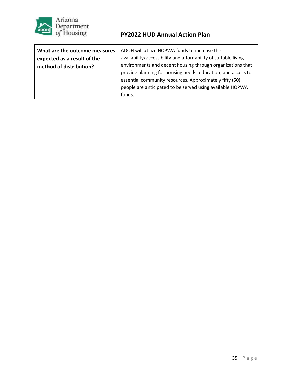

| What are the outcome measures | ADOH will utilize HOPWA funds to increase the                   |
|-------------------------------|-----------------------------------------------------------------|
| expected as a result of the   | availability/accessibility and affordability of suitable living |
| method of distribution?       | environments and decent housing through organizations that      |
|                               | provide planning for housing needs, education, and access to    |
|                               | essential community resources. Approximately fifty (50)         |
|                               | people are anticipated to be served using available HOPWA       |
|                               | funds.                                                          |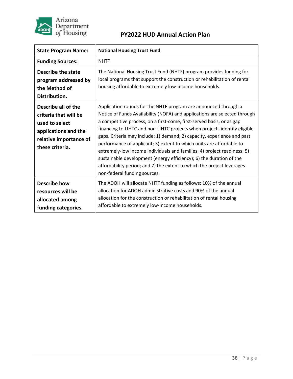

| <b>State Program Name:</b>                                                                                                          | <b>National Housing Trust Fund</b>                                                                                                                                                                                                                                                                                                                                                                                                                                                                                                                                                                                                                                                                                |
|-------------------------------------------------------------------------------------------------------------------------------------|-------------------------------------------------------------------------------------------------------------------------------------------------------------------------------------------------------------------------------------------------------------------------------------------------------------------------------------------------------------------------------------------------------------------------------------------------------------------------------------------------------------------------------------------------------------------------------------------------------------------------------------------------------------------------------------------------------------------|
| <b>Funding Sources:</b>                                                                                                             | <b>NHTF</b>                                                                                                                                                                                                                                                                                                                                                                                                                                                                                                                                                                                                                                                                                                       |
| Describe the state<br>program addressed by<br>the Method of<br>Distribution.                                                        | The National Housing Trust Fund (NHTF) program provides funding for<br>local programs that support the construction or rehabilitation of rental<br>housing affordable to extremely low-income households.                                                                                                                                                                                                                                                                                                                                                                                                                                                                                                         |
| Describe all of the<br>criteria that will be<br>used to select<br>applications and the<br>relative importance of<br>these criteria. | Application rounds for the NHTF program are announced through a<br>Notice of Funds Availability (NOFA) and applications are selected through<br>a competitive process, on a first-come, first-served basis, or as gap<br>financing to LIHTC and non-LIHTC projects when projects identify eligible<br>gaps. Criteria may include: 1) demand; 2) capacity, experience and past<br>performance of applicant; 3) extent to which units are affordable to<br>extremely-low income individuals and families; 4) project readiness; 5)<br>sustainable development (energy efficiency); 6) the duration of the<br>affordability period; and 7) the extent to which the project leverages<br>non-federal funding sources. |
| <b>Describe how</b><br>resources will be<br>allocated among<br>funding categories.                                                  | The ADOH will allocate NHTF funding as follows: 10% of the annual<br>allocation for ADOH administrative costs and 90% of the annual<br>allocation for the construction or rehabilitation of rental housing<br>affordable to extremely low-income households.                                                                                                                                                                                                                                                                                                                                                                                                                                                      |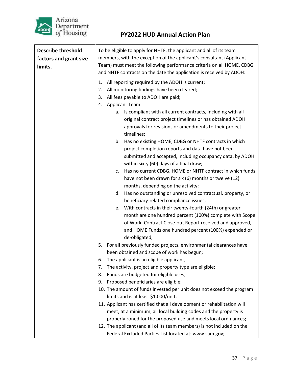

| <b>Describe threshold</b> | To be eligible to apply for NHTF, the applicant and all of its team                                                                                                                                                                                           |  |  |
|---------------------------|---------------------------------------------------------------------------------------------------------------------------------------------------------------------------------------------------------------------------------------------------------------|--|--|
| factors and grant size    | members, with the exception of the applicant's consultant (Applicant                                                                                                                                                                                          |  |  |
| limits.                   | Team) must meet the following performance criteria on all HOME, CDBG<br>and NHTF contracts on the date the application is received by ADOH:                                                                                                                   |  |  |
|                           | All reporting required by the ADOH is current;<br>1.<br>All monitoring findings have been cleared;<br>2.<br>All fees payable to ADOH are paid;<br>3.<br><b>Applicant Team:</b><br>4.                                                                          |  |  |
|                           | a. Is compliant with all current contracts, including with all<br>original contract project timelines or has obtained ADOH<br>approvals for revisions or amendments to their project<br>timelines;                                                            |  |  |
|                           | Has no existing HOME, CDBG or NHTF contracts in which<br>b.<br>project completion reports and data have not been<br>submitted and accepted, including occupancy data, by ADOH<br>within sixty (60) days of a final draw;                                      |  |  |
|                           | Has no current CDBG, HOME or NHTF contract in which funds<br>c.<br>have not been drawn for six (6) months or twelve (12)<br>months, depending on the activity;                                                                                                |  |  |
|                           | Has no outstanding or unresolved contractual, property, or<br>d.<br>beneficiary-related compliance issues;                                                                                                                                                    |  |  |
|                           | e. With contracts in their twenty-fourth (24th) or greater<br>month are one hundred percent (100%) complete with Scope<br>of Work, Contract Close-out Report received and approved,<br>and HOME Funds one hundred percent (100%) expended or<br>de-obligated; |  |  |
|                           | For all previously funded projects, environmental clearances have<br>5.                                                                                                                                                                                       |  |  |
|                           | been obtained and scope of work has begun;                                                                                                                                                                                                                    |  |  |
|                           | The applicant is an eligible applicant;<br>6.                                                                                                                                                                                                                 |  |  |
|                           | The activity, project and property type are eligible;<br>7.                                                                                                                                                                                                   |  |  |
|                           | Funds are budgeted for eligible uses;<br>8.                                                                                                                                                                                                                   |  |  |
|                           | Proposed beneficiaries are eligible;<br>9.                                                                                                                                                                                                                    |  |  |
|                           | 10. The amount of funds invested per unit does not exceed the program                                                                                                                                                                                         |  |  |
|                           | limits and is at least \$1,000/unit;                                                                                                                                                                                                                          |  |  |
|                           | 11. Applicant has certified that all development or rehabilitation will                                                                                                                                                                                       |  |  |
|                           | meet, at a minimum, all local building codes and the property is                                                                                                                                                                                              |  |  |
|                           | properly zoned for the proposed use and meets local ordinances;<br>12. The applicant (and all of its team members) is not included on the                                                                                                                     |  |  |
|                           | Federal Excluded Parties List located at: www.sam.gov;                                                                                                                                                                                                        |  |  |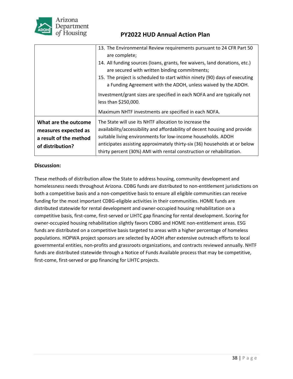

| <b>PY2022 HUD Annual Action Plan</b> |  |  |
|--------------------------------------|--|--|
|                                      |  |  |

|                                                                                            | 13. The Environmental Review requirements pursuant to 24 CFR Part 50<br>are complete;<br>14. All funding sources (loans, grants, fee waivers, land donations, etc.)<br>are secured with written binding commitments;<br>15. The project is scheduled to start within ninety (90) days of executing<br>a Funding Agreement with the ADOH, unless waived by the ADOH.<br>Investment/grant sizes are specified in each NOFA and are typically not |
|--------------------------------------------------------------------------------------------|------------------------------------------------------------------------------------------------------------------------------------------------------------------------------------------------------------------------------------------------------------------------------------------------------------------------------------------------------------------------------------------------------------------------------------------------|
|                                                                                            | less than \$250,000.                                                                                                                                                                                                                                                                                                                                                                                                                           |
|                                                                                            | Maximum NHTF investments are specified in each NOFA.                                                                                                                                                                                                                                                                                                                                                                                           |
| What are the outcome<br>measures expected as<br>a result of the method<br>of distribution? | The State will use its NHTF allocation to increase the<br>availability/accessibility and affordability of decent housing and provide<br>suitable living environments for low-income households. ADOH<br>anticipates assisting approximately thirty-six (36) households at or below<br>thirty percent (30%) AMI with rental construction or rehabilitation.                                                                                     |

#### **Discussion:**

These methods of distribution allow the State to address housing, community development and homelessness needs throughout Arizona. CDBG funds are distributed to non-entitlement jurisdictions on both a competitive basis and a non-competitive basis to ensure all eligible communities can receive funding for the most important CDBG-eligible activities in their communities. HOME funds are distributed statewide for rental development and owner-occupied housing rehabilitation on a competitive basis, first-come, first-served or LIHTC gap financing for rental development. Scoring for owner-occupied housing rehabilitation slightly favors CDBG and HOME non-entitlement areas. ESG funds are distributed on a competitive basis targeted to areas with a higher percentage of homeless populations. HOPWA project sponsors are selected by ADOH after extensive outreach efforts to local governmental entities, non-profits and grassroots organizations, and contracts reviewed annually. NHTF funds are distributed statewide through a Notice of Funds Available process that may be competitive, first-come, first-served or gap financing for LIHTC projects.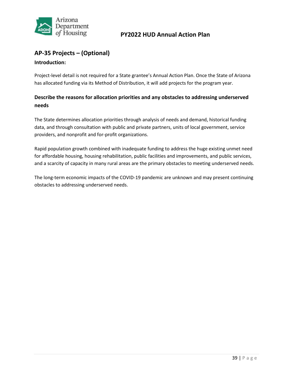

### <span id="page-40-0"></span>**AP-35 Projects – (Optional)**

#### **Introduction:**

Project-level detail is not required for a State grantee's Annual Action Plan. Once the State of Arizona has allocated funding via its Method of Distribution, it will add projects for the program year.

### **Describe the reasons for allocation priorities and any obstacles to addressing underserved needs**

The State determines allocation priorities through analysis of needs and demand, historical funding data, and through consultation with public and private partners, units of local government, service providers, and nonprofit and for-profit organizations.

Rapid population growth combined with inadequate funding to address the huge existing unmet need for affordable housing, housing rehabilitation, public facilities and improvements, and public services, and a scarcity of capacity in many rural areas are the primary obstacles to meeting underserved needs.

The long-term economic impacts of the COVID-19 pandemic are unknown and may present continuing obstacles to addressing underserved needs.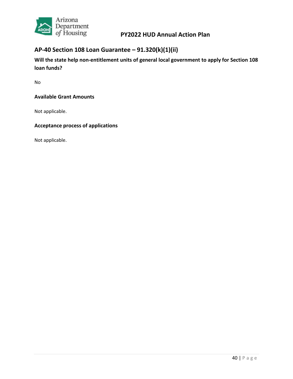

# <span id="page-41-0"></span>**AP-40 Section 108 Loan Guarantee – 91.320(k)(1)(ii)**

**Will the state help non-entitlement units of general local government to apply for Section 108 loan funds?**

No

#### **Available Grant Amounts**

Not applicable.

#### **Acceptance process of applications**

Not applicable.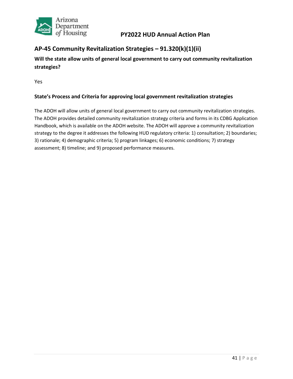

# <span id="page-42-0"></span>**AP-45 Community Revitalization Strategies – 91.320(k)(1)(ii)**

**Will the state allow units of general local government to carry out community revitalization strategies?**

Yes

#### **State's Process and Criteria for approving local government revitalization strategies**

The ADOH will allow units of general local government to carry out community revitalization strategies. The ADOH provides detailed community revitalization strategy criteria and forms in its CDBG Application Handbook, which is available on the ADOH website. The ADOH will approve a community revitalization strategy to the degree it addresses the following HUD regulatory criteria: 1) consultation; 2) boundaries; 3) rationale; 4) demographic criteria; 5) program linkages; 6) economic conditions; 7) strategy assessment; 8) timeline; and 9) proposed performance measures.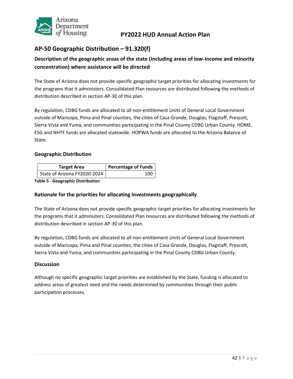

### <span id="page-43-0"></span>**AP-50 Geographic Distribution – 91.320(f)**

### **Description of the geographic areas of the state (including areas of low-income and minority concentration) where assistance will be directed**

The State of Arizona does not provide specific geographic target priorities for allocating investments for the programs that it administers. Consolidated Plan resources are distributed following the methods of distribution described in section AP-30 of this plan.

By regulation, CDBG funds are allocated to all non-entitlement Units of General Local Government outside of Maricopa, Pima and Pinal counties, the cities of Casa Grande, Douglas, Flagstaff, Prescott, Sierra Vista and Yuma, and communities participating in the Pinal County CDBG Urban County. HOME, ESG and NHTF funds are allocated statewide. HOPWA funds are allocated to the Arizona Balance of State.

#### **Geographic Distribution**

| <b>Target Area</b>           | <b>Percentage of Funds</b> |
|------------------------------|----------------------------|
| State of Arizona FY2020-2024 | 100                        |

**Table 5 - Geographic Distribution** 

#### **Rationale for the priorities for allocating investments geographically**

The State of Arizona does not provide specific geographic target priorities for allocating investments for the programs that it administers. Consolidated Plan resources are distributed following the methods of distribution described in section AP-30 of this plan.

By regulation, CDBG funds are allocated to all non-entitlement Units of General Local Government outside of Maricopa, Pima and Pinal counties, the cities of Casa Grande, Douglas, Flagstaff, Prescott, Sierra Vista and Yuma, and communities participating in the Pinal County CDBG Urban County.

#### **Discussion**

Although no specific geographic target priorities are established by the State, funding is allocated to address areas of greatest need and the needs determined by communities through their public participation processes.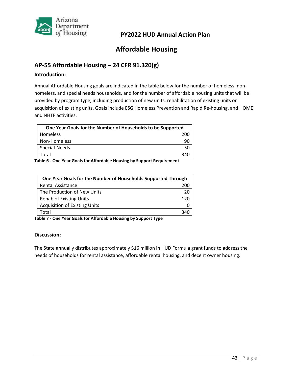

# **Affordable Housing**

### <span id="page-44-1"></span><span id="page-44-0"></span>**AP-55 Affordable Housing – 24 CFR 91.320(g)**

#### **Introduction:**

Annual Affordable Housing goals are indicated in the table below for the number of homeless, nonhomeless, and special needs households, and for the number of affordable housing units that will be provided by program type, including production of new units, rehabilitation of existing units or acquisition of existing units. Goals include ESG Homeless Prevention and Rapid Re-housing, and HOME and NHTF activities.

| One Year Goals for the Number of Households to be Supported |     |
|-------------------------------------------------------------|-----|
| Homeless                                                    | 200 |
| Non-Homeless                                                |     |
| Special-Needs                                               |     |
| Total                                                       | 340 |

**Table 6 - One Year Goals for Affordable Housing by Support Requirement**

| One Year Goals for the Number of Households Supported Through |    |
|---------------------------------------------------------------|----|
| <b>Rental Assistance</b>                                      |    |
| The Production of New Units                                   | 20 |
| <b>Rehab of Existing Units</b>                                |    |
| <b>Acquisition of Existing Units</b>                          |    |
| Total                                                         |    |

**Table 7 - One Year Goals for Affordable Housing by Support Type**

#### **Discussion:**

The State annually distributes approximately \$16 million in HUD Formula grant funds to address the needs of households for rental assistance, affordable rental housing, and decent owner housing.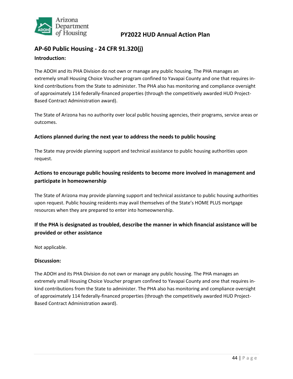

# <span id="page-45-0"></span>**AP-60 Public Housing - 24 CFR 91.320(j) Introduction:**

The ADOH and its PHA Division do not own or manage any public housing. The PHA manages an extremely small Housing Choice Voucher program confined to Yavapai County and one that requires inkind contributions from the State to administer. The PHA also has monitoring and compliance oversight of approximately 114 federally-financed properties (through the competitively awarded HUD Project-Based Contract Administration award).

The State of Arizona has no authority over local public housing agencies, their programs, service areas or outcomes.

#### **Actions planned during the next year to address the needs to public housing**

The State may provide planning support and technical assistance to public housing authorities upon request.

### **Actions to encourage public housing residents to become more involved in management and participate in homeownership**

The State of Arizona may provide planning support and technical assistance to public housing authorities upon request. Public housing residents may avail themselves of the State's HOME PLUS mortgage resources when they are prepared to enter into homeownership.

### **If the PHA is designated as troubled, describe the manner in which financial assistance will be provided or other assistance**

Not applicable.

#### **Discussion:**

The ADOH and its PHA Division do not own or manage any public housing. The PHA manages an extremely small Housing Choice Voucher program confined to Yavapai County and one that requires inkind contributions from the State to administer. The PHA also has monitoring and compliance oversight of approximately 114 federally-financed properties (through the competitively awarded HUD Project-Based Contract Administration award).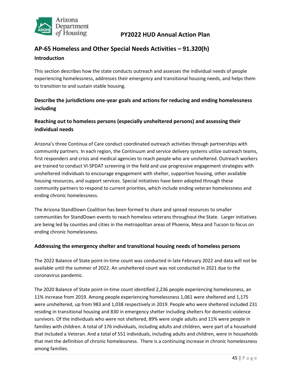

# <span id="page-46-0"></span>**AP-65 Homeless and Other Special Needs Activities – 91.320(h) Introduction**

This section describes how the state conducts outreach and assesses the individual needs of people experiencing homelessness, addresses their emergency and transitional housing needs, and helps them to transition to and sustain stable housing.

### **Describe the jurisdictions one-year goals and actions for reducing and ending homelessness including**

### **Reaching out to homeless persons (especially unsheltered persons) and assessing their individual needs**

Arizona's three Continua of Care conduct coordinated outreach activities through partnerships with community partners. In each region, the Continuum and service delivery systems utilize outreach teams, first responders and crisis and medical agencies to reach people who are unsheltered. Outreach workers are trained to conduct VI-SPDAT screening in the field and use progressive engagement strategies with unsheltered individuals to encourage engagement with shelter, supportive housing, other available housing resources, and support services. Special initiatives have been adopted through these community partners to respond to current priorities, which include ending veteran homelessness and ending chronic homelessness.

The Arizona StandDown Coalition has been formed to share and spread resources to smaller communities for StandDown events to reach homeless veterans throughout the State. Larger initiatives are being led by counties and cities in the metropolitan areas of Phoenix, Mesa and Tucson to focus on ending chronic homelessness.

#### **Addressing the emergency shelter and transitional housing needs of homeless persons**

The 2022 Balance of State point-in-time count was conducted in late February 2022 and data will not be available until the summer of 2022. An unsheltered count was not conducted in 2021 due to the coronavirus pandemic.

The 2020 Balance of State point-in-time count identified 2,236 people experiencing homelessness, an 11% increase from 2019. Among people experiencing homelessness 1,061 were sheltered and 1,175 were unsheltered, up from 983 and 1,038 respectively in 2019. People who were sheltered included 231 residing in transitional housing and 830 in emergency shelter including shelters for domestic violence survivors. Of the individuals who were not sheltered, 89% were single adults and 11% were people in families with children. A total of 176 individuals, including adults and children, were part of a household that included a Veteran. And a total of 551 individuals, including adults and children, were in households that met the definition of chronic homelessness. There is a continuing increase in chronic homelessness among families.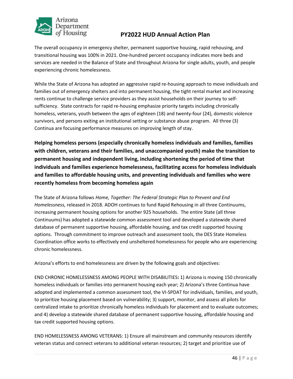

The overall occupancy in emergency shelter, permanent supportive housing, rapid rehousing, and transitional housing was 100% in 2021. One-hundred percent occupancy indicates more beds and services are needed in the Balance of State and throughout Arizona for single adults, youth, and people experiencing chronic homelessness.

While the State of Arizona has adopted an aggressive rapid re-housing approach to move individuals and families out of emergency shelters and into permanent housing, the tight rental market and increasing rents continue to challenge service providers as they assist households on their journey to selfsufficiency. State contracts for rapid re-housing emphasize priority targets including chronically homeless, veterans, youth between the ages of eighteen (18) and twenty-four (24), domestic violence survivors, and persons exiting an institutional setting or substance abuse program. All three (3) Continua are focusing performance measures on improving length of stay.

**Helping homeless persons (especially chronically homeless individuals and families, families with children, veterans and their families, and unaccompanied youth) make the transition to permanent housing and independent living, including shortening the period of time that individuals and families experience homelessness, facilitating access for homeless individuals and families to affordable housing units, and preventing individuals and families who were recently homeless from becoming homeless again**

The State of Arizona follows *Home, Together: The Federal Strategic Plan to Prevent and End Homelessness,* released in 2018. ADOH continues to fund Rapid Rehousing in all three Continuums, increasing permanent housing options for another 925 households. The entire State (all three Continuums) has adopted a statewide common assessment tool and developed a statewide shared database of permanent supportive housing, affordable housing, and tax credit supported housing options. Through commitment to improve outreach and assessment tools, the DES State Homeless Coordination office works to effectively end unsheltered homelessness for people who are experiencing chronic homelessness.

Arizona's efforts to end homelessness are driven by the following goals and objectives:

END CHRONIC HOMELESSNESS AMONG PEOPLE WITH DISABILITIES**:** 1) Arizona is moving 150 chronically homeless individuals or families into permanent housing each year; 2) Arizona's three Continua have adopted and implemented a common assessment tool, the VI-SPDAT for individuals, families, and youth, to prioritize housing placement based on vulnerability; 3) support, monitor, and assess all pilots for centralized intake to prioritize chronically homeless individuals for placement and to evaluate outcomes; and 4) develop a statewide shared database of permanent supportive housing, affordable housing and tax credit supported housing options.

END HOMELESSNESS AMONG VETERANS: 1) Ensure all mainstream and community resources identify veteran status and connect veterans to additional veteran resources; 2) target and prioritize use of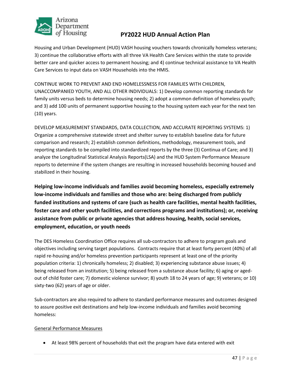

Housing and Urban Development (HUD) VASH housing vouchers towards chronically homeless veterans; 3) continue the collaborative efforts with all three VA Health Care Services within the state to provide better care and quicker access to permanent housing; and 4) continue technical assistance to VA Health Care Services to input data on VASH Households into the HMIS.

CONTINUE WORK TO PREVENT AND END HOMELESSNESS FOR FAMILIES WITH CHILDREN, UNACCOMPANIED YOUTH, AND ALL OTHER INDIVIDUALS: 1) Develop common reporting standards for family units versus beds to determine housing needs; 2) adopt a common definition of homeless youth; and 3) add 100 units of permanent supportive housing to the housing system each year for the next ten (10) years.

DEVELOP MEASUREMENT STANDARDS, DATA COLLECTION, AND ACCURATE REPORTING SYSTEMS: 1) Organize a comprehensive statewide street and shelter survey to establish baseline data for future comparison and research; 2) establish common definitions, methodology, measurement tools, and reporting standards to be compiled into standardized reports by the three (3) Continua of Care; and 3) analyze the Longitudinal Statistical Analysis Reports(LSA) and the HUD System Performance Measure reports to determine if the system changes are resulting in increased households becoming housed and stabilized in their housing.

**Helping low-income individuals and families avoid becoming homeless, especially extremely low-income individuals and families and those who are: being discharged from publicly funded institutions and systems of care (such as health care facilities, mental health facilities, foster care and other youth facilities, and corrections programs and institutions); or, receiving assistance from public or private agencies that address housing, health, social services, employment, education, or youth needs**

The DES Homeless Coordination Office requires all sub-contractors to adhere to program goals and objectives including serving target populations. Contracts require that at least forty percent (40%) of all rapid re-housing and/or homeless prevention participants represent at least one of the priority population criteria: 1) chronically homeless; 2) disabled; 3) experiencing substance abuse issues; 4) being released from an institution; 5) being released from a substance abuse facility; 6) aging or agedout of child foster care; 7) domestic violence survivor; 8) youth 18 to 24 years of age; 9) veterans; or 10) sixty-two (62) years of age or older.

Sub-contractors are also required to adhere to standard performance measures and outcomes designed to assure positive exit destinations and help low-income individuals and families avoid becoming homeless:

#### General Performance Measures

• At least 98% percent of households that exit the program have data entered with exit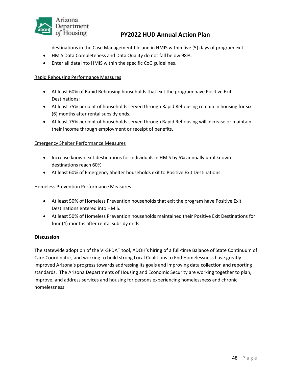

destinations in the Case Management file and in HMIS within five (5) days of program exit.

- HMIS Data Completeness and Data Quality do not fall below 98%.
- Enter all data into HMIS within the specific CoC guidelines.

#### Rapid Rehousing Performance Measures

- At least 60% of Rapid Rehousing households that exit the program have Positive Exit Destinations;
- At least 75% percent of households served through Rapid Rehousing remain in housing for six (6) months after rental subsidy ends.
- At least 75% percent of households served through Rapid Rehousing will increase or maintain their income through employment or receipt of benefits.

#### Emergency Shelter Performance Measures

- Increase known exit destinations for individuals in HMIS by 5% annually until known destinations reach 60%.
- At least 60% of Emergency Shelter households exit to Positive Exit Destinations.

#### Homeless Prevention Performance Measures

- At least 50% of Homeless Prevention households that exit the program have Positive Exit Destinations entered into HMIS.
- At least 50% of Homeless Prevention households maintained their Positive Exit Destinations for four (4) months after rental subsidy ends.

#### **Discussion**

The statewide adoption of the VI-SPDAT tool, ADOH's hiring of a full-time Balance of State Continuum of Care Coordinator, and working to build strong Local Coalitions to End Homelessness have greatly improved Arizona's progress towards addressing its goals and improving data collection and reporting standards. The Arizona Departments of Housing and Economic Security are working together to plan, improve, and address services and housing for persons experiencing homelessness and chronic homelessness.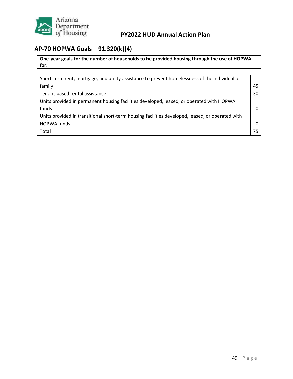

# <span id="page-50-0"></span>**AP-70 HOPWA Goals – 91.320(k)(4)**

| One-year goals for the number of households to be provided housing through the use of HOPWA<br>for: |    |
|-----------------------------------------------------------------------------------------------------|----|
|                                                                                                     |    |
| Short-term rent, mortgage, and utility assistance to prevent homelessness of the individual or      |    |
| family                                                                                              | 45 |
| Tenant-based rental assistance                                                                      | 30 |
| Units provided in permanent housing facilities developed, leased, or operated with HOPWA            |    |
| funds                                                                                               | 0  |
| Units provided in transitional short-term housing facilities developed, leased, or operated with    |    |
| <b>HOPWA funds</b>                                                                                  | 0  |
| Total                                                                                               | 75 |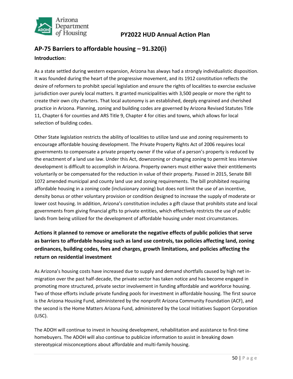

# <span id="page-51-0"></span>**AP-75 Barriers to affordable housing – 91.320(i) Introduction:**

As a state settled during western expansion, Arizona has always had a strongly individualistic disposition. It was founded during the heart of the progressive movement, and its 1912 constitution reflects the desire of reformers to prohibit special legislation and ensure the rights of localities to exercise exclusive jurisdiction over purely local matters. It granted municipalities with 3,500 people or more the right to create their own city charters. That local autonomy is an established, deeply engrained and cherished practice in Arizona. Planning, zoning and building codes are governed by Arizona Revised Statutes Title 11, Chapter 6 for counties and ARS Title 9, Chapter 4 for cities and towns, which allows for local selection of building codes.

Other State legislation restricts the ability of localities to utilize land use and zoning requirements to encourage affordable housing development. The Private Property Rights Act of 2006 requires local governments to compensate a private property owner if the value of a person's property is reduced by the enactment of a land use law. Under this Act, downzoning or changing zoning to permit less intensive development is difficult to accomplish in Arizona. Property owners must either waive their entitlements voluntarily or be compensated for the reduction in value of their property. Passed in 2015, Senate Bill 1072 amended municipal and county land use and zoning requirements. The bill prohibited requiring affordable housing in a zoning code (inclusionary zoning) but does not limit the use of an incentive, density bonus or other voluntary provision or condition designed to increase the supply of moderate or lower cost housing. In addition, Arizona's constitution includes a gift clause that prohibits state and local governments from giving financial gifts to private entities, which effectively restricts the use of public lands from being utilized for the development of affordable housing under most circumstances.

### **Actions it planned to remove or ameliorate the negative effects of public policies that serve as barriers to affordable housing such as land use controls, tax policies affecting land, zoning ordinances, building codes, fees and charges, growth limitations, and policies affecting the return on residential investment**

As Arizona's housing costs have increased due to supply and demand shortfalls caused by high net inmigration over the past half-decade, the private sector has taken notice and has become engaged in promoting more structured, private sector involvement in funding affordable and workforce housing. Two of those efforts include private funding pools for investment in affordable housing. The first source is the Arizona Housing Fund, administered by the nonprofit Arizona Community Foundation (ACF), and the second is the Home Matters Arizona Fund, administered by the Local Initiatives Support Corporation (LISC).

The ADOH will continue to invest in housing development, rehabilitation and assistance to first-time homebuyers. The ADOH will also continue to publicize information to assist in breaking down stereotypical misconceptions about affordable and multi-family housing.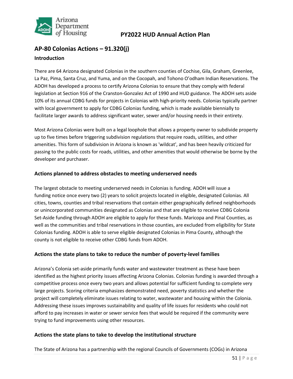

# <span id="page-52-0"></span>**AP-80 Colonias Actions – 91.320(j) Introduction**

There are 64 Arizona designated Colonias in the southern counties of Cochise, Gila, Graham, Greenlee, La Paz, Pima, Santa Cruz, and Yuma, and on the Cocopah, and Tohono O'odham Indian Reservations. The ADOH has developed a process to certify Arizona Colonias to ensure that they comply with federal legislation at Section 916 of the Cranston-Gonzalez Act of 1990 and HUD guidance. The ADOH sets aside 10% of its annual CDBG funds for projects in Colonias with high-priority needs. Colonias typically partner with local government to apply for CDBG Colonias funding, which is made available biennially to facilitate larger awards to address significant water, sewer and/or housing needs in their entirety.

Most Arizona Colonias were built on a legal loophole that allows a property owner to subdivide property up to five times before triggering subdivision regulations that require roads, utilities, and other amenities. This form of subdivision in Arizona is known as 'wildcat', and has been heavily criticized for passing to the public costs for roads, utilities, and other amenities that would otherwise be borne by the developer and purchaser.

#### **Actions planned to address obstacles to meeting underserved needs**

The largest obstacle to meeting underserved needs in Colonias is funding. ADOH will issue a funding notice once every two (2) years to solicit projects located in eligible, designated Colonias. All cities, towns, counties and tribal reservations that contain either geographically defined neighborhoods or unincorporated communities designated as Colonias and that are eligible to receive CDBG Colonia Set-Aside funding through ADOH are eligible to apply for these funds. Maricopa and Pinal Counties, as well as the communities and tribal reservations in those counties, are excluded from eligibility for State Colonias funding. ADOH is able to serve eligible designated Colonias in Pima County, although the county is not eligible to receive other CDBG funds from ADOH.

#### **Actions the state plans to take to reduce the number of poverty-level families**

Arizona's Colonia set-aside primarily funds water and wastewater treatment as these have been identified as the highest priority issues affecting Arizona Colonias. Colonias funding is awarded through a competitive process once every two years and allows potential for sufficient funding to complete very large projects. Scoring criteria emphasizes demonstrated need, poverty statistics and whether the project will completely eliminate issues relating to water, wastewater and housing within the Colonia. Addressing these issues improves sustainability and quality of life issues for residents who could not afford to pay increases in water or sewer service fees that would be required if the community were trying to fund improvements using other resources.

#### **Actions the state plans to take to develop the institutional structure**

The State of Arizona has a partnership with the regional Councils of Governments (COGs) in Arizona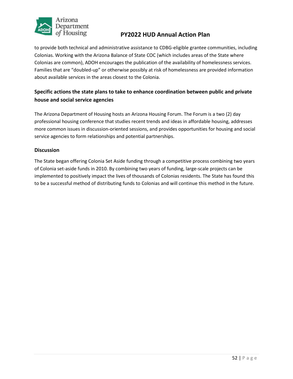

to provide both technical and administrative assistance to CDBG-eligible grantee communities, including Colonias. Working with the Arizona Balance of State COC (which includes areas of the State where Colonias are common), ADOH encourages the publication of the availability of homelessness services. Families that are "doubled-up" or otherwise possibly at risk of homelessness are provided information about available services in the areas closest to the Colonia.

### **Specific actions the state plans to take to enhance coordination between public and private house and social service agencies**

The Arizona Department of Housing hosts an Arizona Housing Forum. The Forum is a two (2) day professional housing conference that studies recent trends and ideas in affordable housing, addresses more common issues in discussion-oriented sessions, and provides opportunities for housing and social service agencies to form relationships and potential partnerships.

#### **Discussion**

The State began offering Colonia Set Aside funding through a competitive process combining two years of Colonia set-aside funds in 2010. By combining two years of funding, large-scale projects can be implemented to positively impact the lives of thousands of Colonias residents. The State has found this to be a successful method of distributing funds to Colonias and will continue this method in the future.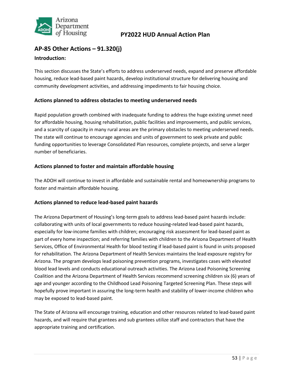

### <span id="page-54-0"></span>**AP-85 Other Actions – 91.320(j) Introduction:**

This section discusses the State's efforts to address underserved needs, expand and preserve affordable housing, reduce lead-based paint hazards, develop institutional structure for delivering housing and community development activities, and addressing impediments to fair housing choice.

#### **Actions planned to address obstacles to meeting underserved needs**

Rapid population growth combined with inadequate funding to address the huge existing unmet need for affordable housing, housing rehabilitation, public facilities and improvements, and public services, and a scarcity of capacity in many rural areas are the primary obstacles to meeting underserved needs. The state will continue to encourage agencies and units of government to seek private and public funding opportunities to leverage Consolidated Plan resources, complete projects, and serve a larger number of beneficiaries.

#### **Actions planned to foster and maintain affordable housing**

The ADOH will continue to invest in affordable and sustainable rental and homeownership programs to foster and maintain affordable housing.

#### **Actions planned to reduce lead-based paint hazards**

The Arizona Department of Housing's long-term goals to address lead-based paint hazards include: collaborating with units of local governments to reduce housing-related lead-based paint hazards, especially for low-income families with children; encouraging risk assessment for lead-based paint as part of every home inspection; and referring families with children to the Arizona Department of Health Services, Office of Environmental Health for blood testing if lead-based paint is found in units proposed for rehabilitation. The Arizona Department of Health Services maintains the lead exposure registry for Arizona. The program develops lead poisoning prevention programs, investigates cases with elevated blood lead levels and conducts educational outreach activities. The Arizona Lead Poisoning Screening Coalition and the Arizona Department of Health Services recommend screening children six (6) years of age and younger according to the Childhood Lead Poisoning Targeted Screening Plan. These steps will hopefully prove important in assuring the long-term health and stability of lower-income children who may be exposed to lead-based paint.

The State of Arizona will encourage training, education and other resources related to lead-based paint hazards, and will require that grantees and sub grantees utilize staff and contractors that have the appropriate training and certification.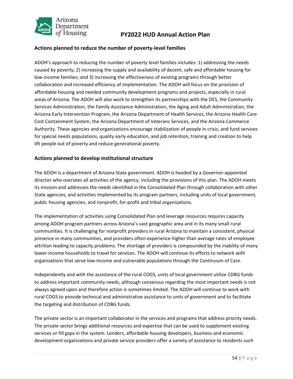

#### **Actions planned to reduce the number of poverty-level families**

ADOH's approach to reducing the number of poverty level families includes: 1) addressing the needs caused by poverty; 2) increasing the supply and availability of decent, safe and affordable housing for low-income families; and 3) increasing the effectiveness of existing programs through better collaboration and increased efficiency of implementation. The ADOH will focus on the provision of affordable housing and needed community development programs and projects, especially in rural areas of Arizona. The ADOH will also work to strengthen its partnerships with the DES, the Community Services Administration, the Family Assistance Administration, the Aging and Adult Administration, the Arizona Early Intervention Program, the Arizona Department of Health Services, the Arizona Health Care Cost Containment System, the Arizona Department of Veterans Services, and the Arizona Commerce Authority. These agencies and organizations encourage stabilization of people in crisis, and fund services for special needs populations, quality early education, and job retention, training and creation to help lift people out of poverty and reduce generational poverty.

#### **Actions planned to develop institutional structure**

The ADOH is a department of Arizona State government. ADOH is headed by a Governor-appointed director who oversees all activities of the agency, including the provisions of this plan. The ADOH meets its mission and addresses the needs identified in the Consolidated Plan through collaboration with other State agencies, and activities implemented by its program partners, including units of local government, public housing agencies, and nonprofit, for-profit and tribal organizations.

The implementation of activities using Consolidated Plan and leverage resources requires capacity among ADOH program partners across Arizona's vast geographic area and in its many small rural communities. It is challenging for nonprofit providers in rural Arizona to maintain a consistent, physical presence in many communities, and providers often experience higher than average rates of employee attrition leading to capacity problems. The shortage of providers is compounded by the inability of many lower-income households to travel for services. The ADOH will continue its efforts to network with organizations that serve low-income and vulnerable populations through the Continuum of Care.

Independently and with the assistance of the rural COGS, units of local government utilize CDBG funds to address important community needs, although consensus regarding the most important needs is not always agreed upon and therefore action is sometimes limited. The ADOH will continue to work with rural COGS to provide technical and administrative assistance to units of government and to facilitate the targeting and distribution of CDBG funds.

The private sector is an important collaborator in the services and programs that address priority needs. The private sector brings additional resources and expertise that can be used to supplement existing services or fill gaps in the system. Lenders, affordable housing developers, business and economic development organizations and private service providers offer a variety of assistance to residents such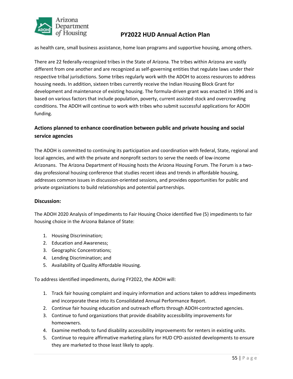

as health care, small business assistance, home loan programs and supportive housing, among others.

There are 22 federally-recognized tribes in the State of Arizona. The tribes within Arizona are vastly different from one another and are recognized as self-governing entities that regulate laws under their respective tribal jurisdictions. Some tribes regularly work with the ADOH to access resources to address housing needs. In addition, sixteen tribes currently receive the Indian Housing Block Grant for development and maintenance of existing housing. The formula-driven grant was enacted in 1996 and is based on various factors that include population, poverty, current assisted stock and overcrowding conditions. The ADOH will continue to work with tribes who submit successful applications for ADOH funding.

### **Actions planned to enhance coordination between public and private housing and social service agencies**

The ADOH is committed to continuing its participation and coordination with federal, State, regional and local agencies, and with the private and nonprofit sectors to serve the needs of low-income Arizonans. The Arizona Department of Housing hosts the Arizona Housing Forum. The Forum is a twoday professional housing conference that studies recent ideas and trends in affordable housing, addresses common issues in discussion-oriented sessions, and provides opportunities for public and private organizations to build relationships and potential partnerships.

#### **Discussion:**

The ADOH 2020 Analysis of Impediments to Fair Housing Choice identified five (5) impediments to fair housing choice in the Arizona Balance of State:

- 1. Housing Discrimination;
- 2. Education and Awareness;
- 3. Geographic Concentrations;
- 4. Lending Discrimination; and
- 5. Availability of Quality Affordable Housing.

To address identified impediments, during FY2022, the ADOH will:

- 1. Track fair housing complaint and inquiry information and actions taken to address impediments and incorporate these into its Consolidated Annual Performance Report.
- 2. Continue fair housing education and outreach efforts through ADOH-contracted agencies.
- 3. Continue to fund organizations that provide disability accessibility improvements for homeowners.
- 4. Examine methods to fund disability accessibility improvements for renters in existing units.
- 5. Continue to require affirmative marketing plans for HUD CPD-assisted developments to ensure they are marketed to those least likely to apply.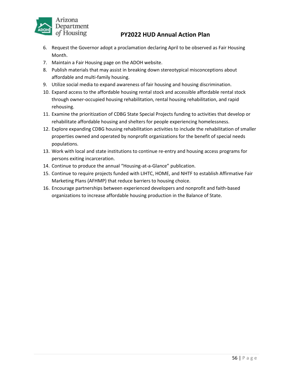

- 6. Request the Governor adopt a proclamation declaring April to be observed as Fair Housing Month.
- 7. Maintain a Fair Housing page on the ADOH website.
- 8. Publish materials that may assist in breaking down stereotypical misconceptions about affordable and multi-family housing.
- 9. Utilize social media to expand awareness of fair housing and housing discrimination.
- 10. Expand access to the affordable housing rental stock and accessible affordable rental stock through owner-occupied housing rehabilitation, rental housing rehabilitation, and rapid rehousing.
- 11. Examine the prioritization of CDBG State Special Projects funding to activities that develop or rehabilitate affordable housing and shelters for people experiencing homelessness.
- 12. Explore expanding CDBG housing rehabilitation activities to include the rehabilitation of smaller properties owned and operated by nonprofit organizations for the benefit of special needs populations.
- 13. Work with local and state institutions to continue re-entry and housing access programs for persons exiting incarceration.
- 14. Continue to produce the annual "Housing-at-a-Glance" publication.
- 15. Continue to require projects funded with LIHTC, HOME, and NHTF to establish Affirmative Fair Marketing Plans (AFHMP) that reduce barriers to housing choice.
- 16. Encourage partnerships between experienced developers and nonprofit and faith-based organizations to increase affordable housing production in the Balance of State.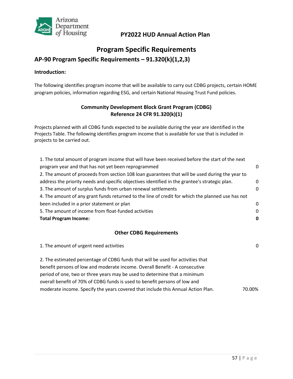

# **Program Specific Requirements**

### <span id="page-58-0"></span>**AP-90 Program Specific Requirements – 91.320(k)(1,2,3)**

#### **Introduction:**

The following identifies program income that will be available to carry out CDBG projects, certain HOME program policies, information regarding ESG, and certain National Housing Trust Fund policies.

#### **Community Development Block Grant Program (CDBG) Reference 24 CFR 91.320(k)(1)**

Projects planned with all CDBG funds expected to be available during the year are identified in the Projects Table. The following identifies program income that is available for use that is included in projects to be carried out.

| 1. The total amount of program income that will have been received before the start of the next   |          |
|---------------------------------------------------------------------------------------------------|----------|
| program year and that has not yet been reprogrammed                                               | 0        |
| 2. The amount of proceeds from section 108 loan guarantees that will be used during the year to   |          |
| address the priority needs and specific objectives identified in the grantee's strategic plan.    | 0        |
| 3. The amount of surplus funds from urban renewal settlements                                     | $\Omega$ |
| 4. The amount of any grant funds returned to the line of credit for which the planned use has not |          |
| been included in a prior statement or plan                                                        | $\Omega$ |
| 5. The amount of income from float-funded activities                                              | $\Omega$ |
| <b>Total Program Income:</b>                                                                      | 0        |
|                                                                                                   |          |

#### **Other CDBG Requirements**

| 1. The amount of urgent need activities                                          | 0      |
|----------------------------------------------------------------------------------|--------|
| 2. The estimated percentage of CDBG funds that will be used for activities that  |        |
| benefit persons of low and moderate income. Overall Benefit - A consecutive      |        |
| period of one, two or three years may be used to determine that a minimum        |        |
| overall benefit of 70% of CDBG funds is used to benefit persons of low and       |        |
| moderate income. Specify the years covered that include this Annual Action Plan. | 70.00% |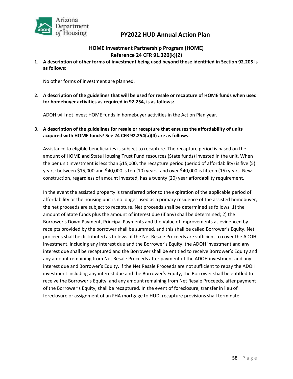

#### **HOME Investment Partnership Program (HOME) Reference 24 CFR 91.320(k)(2)**

**1. A description of other forms of investment being used beyond those identified in Section 92.205 is as follows:**

No other forms of investment are planned.

**2. A description of the guidelines that will be used for resale or recapture of HOME funds when used for homebuyer activities as required in 92.254, is as follows:**

ADOH will not invest HOME funds in homebuyer activities in the Action Plan year.

**3. A description of the guidelines for resale or recapture that ensures the affordability of units acquired with HOME funds? See 24 CFR 92.254(a)(4) are as follows:**

Assistance to eligible beneficiaries is subject to recapture. The recapture period is based on the amount of HOME and State Housing Trust Fund resources (State funds) invested in the unit. When the per unit investment is less than \$15,000, the recapture period (period of affordability) is five (5) years; between \$15,000 and \$40,000 is ten (10) years; and over \$40,000 is fifteen (15) years. New construction, regardless of amount invested, has a twenty (20) year affordability requirement.

In the event the assisted property is transferred prior to the expiration of the applicable period of affordability or the housing unit is no longer used as a primary residence of the assisted homebuyer, the net proceeds are subject to recapture. Net proceeds shall be determined as follows: 1) the amount of State funds plus the amount of interest due (if any) shall be determined; 2) the Borrower's Down Payment, Principal Payments and the Value of Improvements as evidenced by receipts provided by the borrower shall be summed, and this shall be called Borrower's Equity. Net proceeds shall be distributed as follows: if the Net Resale Proceeds are sufficient to cover the ADOH investment, including any interest due and the Borrower's Equity, the ADOH investment and any interest due shall be recaptured and the Borrower shall be entitled to receive Borrower's Equity and any amount remaining from Net Resale Proceeds after payment of the ADOH investment and any interest due and Borrower's Equity. If the Net Resale Proceeds are not sufficient to repay the ADOH investment including any interest due and the Borrower's Equity, the Borrower shall be entitled to receive the Borrower's Equity, and any amount remaining from Net Resale Proceeds, after payment of the Borrower's Equity, shall be recaptured. In the event of foreclosure, transfer in lieu of foreclosure or assignment of an FHA mortgage to HUD, recapture provisions shall terminate.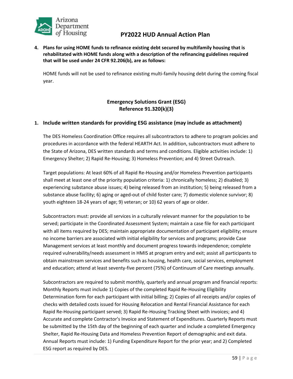

**4. Plans for using HOME funds to refinance existing debt secured by multifamily housing that is rehabilitated with HOME funds along with a description of the refinancing guidelines required that will be used under 24 CFR 92.206(b), are as follows:**

HOME funds will not be used to refinance existing multi-family housing debt during the coming fiscal year.

### **Emergency Solutions Grant (ESG) Reference 91.320(k)(3)**

#### **1. Include written standards for providing ESG assistance (may include as attachment)**

The DES Homeless Coordination Office requires all subcontractors to adhere to program policies and procedures in accordance with the federal HEARTH Act. In addition, subcontractors must adhere to the State of Arizona, DES written standards and terms and conditions. Eligible activities include: 1) Emergency Shelter; 2) Rapid Re-Housing; 3) Homeless Prevention; and 4) Street Outreach.

Target populations: At least 60% of all Rapid Re-Housing and/or Homeless Prevention participants shall meet at least one of the priority population criteria: 1) chronically homeless; 2) disabled; 3) experiencing substance abuse issues; 4) being released from an institution; 5) being released from a substance abuse facility; 6) aging or aged-out of child foster care; 7) domestic violence survivor; 8) youth eighteen 18-24 years of age; 9) veteran; or 10) 62 years of age or older.

Subcontractors must: provide all services in a culturally relevant manner for the population to be served; participate in the Coordinated Assessment System; maintain a case file for each participant with all items required by DES; maintain appropriate documentation of participant eligibility; ensure no income barriers are associated with initial eligibility for services and programs; provide Case Management services at least monthly and document progress towards independence; complete required vulnerability/needs assessment in HMIS at program entry and exit; assist all participants to obtain mainstream services and benefits such as housing, health care, social services, employment and education; attend at least seventy-five percent (75%) of Continuum of Care meetings annually.

Subcontractors are required to submit monthly, quarterly and annual program and financial reports: Monthly Reports must include 1) Copies of the completed Rapid Re-Housing Eligibility Determination form for each participant with initial billing; 2) Copies of all receipts and/or copies of checks with detailed costs issued for Housing Relocation and Rental Financial Assistance for each Rapid Re-Housing participant served; 3) Rapid Re-Housing Tracking Sheet with invoices; and 4) Accurate and complete Contractor's Invoice and Statement of Expenditures. Quarterly Reports must be submitted by the 15th day of the beginning of each quarter and include a completed Emergency Shelter, Rapid Re-Housing Data and Homeless Prevention Report of demographic and exit data. Annual Reports must include: 1) Funding Expenditure Report for the prior year; and 2) Completed ESG report as required by DES.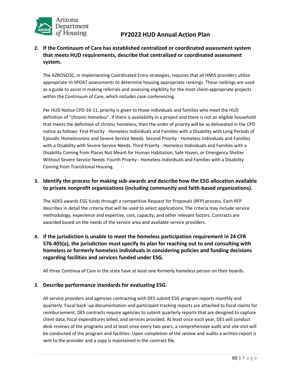

#### **2. If the Continuum of Care has established centralized or coordinated assessment system that meets HUD requirements, describe that centralized or coordinated assessment system.**

The AZBOSCOC, in implementing Coordinated Entry strategies, requires that all HMIS providers utilize appropriate VI-SPDAT assessments to determine housing appropriate rankings. These rankings are used as a guide to assist in making referrals and assessing eligibility for the most client-appropriate projects within the Continuum of Care, which includes case conferencing.

Per HUD Notice CPD-16-11, priority is given to those individuals and families who meet the HUD definition of "chronic homeless". If there is availability in a project and there is not an eligible household that meets the definition of chronic homeless, then the order of priority will be as delineated in the CPD notice as follows: First Priority - Homeless Individuals and Families with a Disability with Long Periods of Episodic Homelessness and Severe Service Needs. Second Priority - Homeless Individuals and Families with a Disability with Severe Service Needs. Third Priority - Homeless Individuals and Families with a Disability Coming from Places Not Meant for Human Habitation, Safe Haven, or Emergency Shelter Without Severe Service Needs. Fourth Priority - Homeless Individuals and Families with a Disability Coming from Transitional Housing.

#### **3. Identify the process for making sub-awards and describe how the ESG allocation available to private nonprofit organizations (including community and faith-based organizations).**

The ADES awards ESG funds through a competitive Request for Proposals (RFP) process. Each RFP describes in detail the criteria that will be used to select applications. The criteria may include service methodology, experience and expertise, cost, capacity, and other relevant factors. Contracts are awarded based on the needs of the service area and available service providers.

### **4. If the jurisdiction is unable to meet the homeless participation requirement in 24 CFR 576.405(a), the jurisdiction must specify its plan for reaching out to and consulting with homeless or formerly homeless individuals in considering policies and funding decisions regarding facilities and services funded under ESG.**

All three Continua of Care in the state have at least one formerly homeless person on their boards.

#### *5.* **Describe performance standards for evaluating ESG.**

All service providers and agencies contracting with DES submit ESG program reports monthly and quarterly. Fiscal back -up documentation and participant tracking reports are attached to fiscal claims for reimbursement. DES contracts require agencies to submit quarterly reports that are designed to capture client data, fiscal expenditures billed, and services provided. At least once each year, DES will conduct desk reviews of the programs and at least once every two years, a comprehensive audit and site visit will be conducted of the program and facilities. Upon completion of the review and audits a written report is sent to the provider and a copy is maintained in the contract file.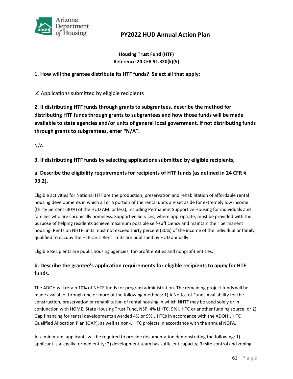

#### **Housing Trust Fund (HTF) Reference 24 CFR 91.320(k)(5)**

#### **1. How will the grantee distribute its HTF funds? Select all that apply:**

 $\boxtimes$  Applications submitted by eligible recipients

**2. If distributing HTF funds through grants to subgrantees, describe the method for distributing HTF funds through grants to subgrantees and how those funds will be made available to state agencies and/or units of general local government. If not distributing funds through grants to subgrantees, enter "N/A".**

N/A

#### **3. If distributing HTF funds by selecting applications submitted by eligible recipients,**

### **a. Describe the eligibility requirements for recipients of HTF funds (as defined in 24 CFR § 93.2).**

Eligible activities for National HTF are the production, preservation and rehabilitation of affordable rental housing developments in which all or a portion of the rental units are set aside for extremely low income (thirty percent (30%) of the HUD AMI or less), including Permanent Supportive Housing for individuals and families who are chronically homeless. Supportive Services, where appropriate, must be provided with the purpose of helping residents achieve maximum possible self-sufficiency and maintain their permanent housing. Rents on NHTF units must not exceed thirty percent (30%) of the income of the individual or family qualified to occupy the HTF Unit. Rent limits are published by HUD annually.

Eligible Recipients are public housing agencies, for-profit entities and nonprofit entities.

### **b. Describe the grantee's application requirements for eligible recipients to apply for HTF funds.**

The ADOH will retain 10% of NHTF funds for program administration. The remaining project funds will be made available through one or more of the following methods: 1) A Notice of Funds Availability for the construction, preservation or rehabilitation of rental housing in which NHTF may be used solely or in conjunction with HOME, State Housing Trust Fund, NSP, 4% LIHTC, 9% LIHTC or another funding source; or 2) Gap financing for rental developments awarded 4% or 9% LIHTCs in accordance with the ADOH LIHTC Qualified Allocation Plan (QAP), as well as non-LIHTC projects in accordance with the annual NOFA.

At a minimum, applicants will be required to provide documentation demonstrating the following: 1) applicant is a legally formed entity; 2) development team has sufficient capacity; 3) site control and zoning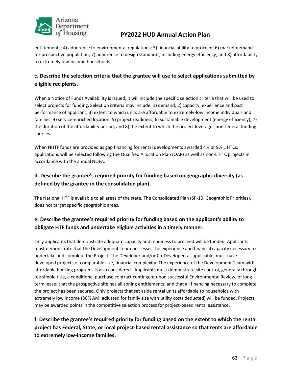

entitlements; 4) adherence to environmental regulations; 5) financial ability to proceed; 6) market demand for prospective population; 7) adherence to design standards, including energy efficiency; and 8) affordability to extremely low-income households.

### **c. Describe the selection criteria that the grantee will use to select applications submitted by eligible recipients.**

When a Notice of Funds Availability is issued, it will include the specific selection criteria that will be used to select projects for funding. Selection criteria may include: 1) demand; 2) capacity, experience and past performance of applicant; 3) extent to which units are affordable to extremely-low income individuals and families; 4) service-enriched location; 5) project readiness; 6) sustainable development (energy efficiency); 7) the duration of the affordability period; and 8) the extent to which the project leverages non-federal funding sources.

When NHTF funds are provided as gap financing for rental developments awarded 4% or 9% LIHTCs, applications will be selected following the Qualified Allocation Plan (QAP) as well as non-LIHTC projects in accordance with the annual NOFA.

### **d. Describe the grantee's required priority for funding based on geographic diversity (as defined by the grantee in the consolidated plan).**

The National HTF is available to all areas of the state. The Consolidated Plan (SP-10, Geographic Priorities), does not target specific geographic areas.

### **e. Describe the grantee's required priority for funding based on the applicant's ability to obligate HTF funds and undertake eligible activities in a timely manner**.

Only applicants that demonstrate adequate capacity and readiness to proceed will be funded. Applicants must demonstrate that the Development Team possesses the experience and financial capacity necessary to undertake and complete the Project. The Developer and/or Co-Developer, as applicable, must have developed projects of comparable size, financial complexity. The experience of the Development Team with affordable housing programs is also considered. Applicants must demonstrate site control, generally through fee simple title, a conditional purchase contract contingent upon successful Environmental Review, or longterm lease; that the prospective site has all zoning entitlements; and that all financing necessary to complete the project has been secured. Only projects that set aside rental units affordable to households with extremely low income (30% AMI adjusted for family size with utility costs deducted) will be funded. Projects may be awarded points in the competitive selection process for project-based rental assistance.

**f. Describe the grantee's required priority for funding based on the extent to which the rental project has Federal, State, or local project-based rental assistance so that rents are affordable to extremely low-income families.**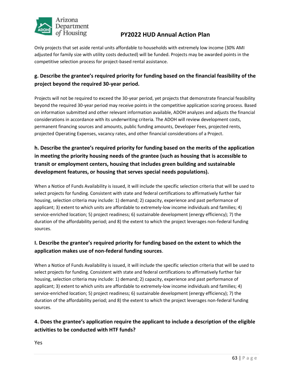

Only projects that set aside rental units affordable to households with extremely low income (30% AMI adjusted for family size with utility costs deducted) will be funded. Projects may be awarded points in the competitive selection process for project-based rental assistance.

### **g. Describe the grantee's required priority for funding based on the financial feasibility of the project beyond the required 30-year period.**

Projects will not be required to exceed the 30-year period, yet projects that demonstrate financial feasibility beyond the required 30-year period may receive points in the competitive application scoring process. Based on information submitted and other relevant information available, ADOH analyzes and adjusts the financial considerations in accordance with its underwriting criteria. The ADOH will review development costs, permanent financing sources and amounts, public funding amounts, Developer Fees, projected rents, projected Operating Expenses, vacancy rates, and other financial considerations of a Project.

### **h. Describe the grantee's required priority for funding based on the merits of the application in meeting the priority housing needs of the grantee (such as housing that is accessible to transit or employment centers, housing that includes green building and sustainable development features, or housing that serves special needs populations).**

When a Notice of Funds Availability is issued, it will include the specific selection criteria that will be used to select projects for funding. Consistent with state and federal certifications to affirmatively further fair housing, selection criteria may include: 1) demand; 2) capacity, experience and past performance of applicant; 3) extent to which units are affordable to extremely-low income individuals and families; 4) service-enriched location; 5) project readiness; 6) sustainable development (energy efficiency); 7) the duration of the affordability period; and 8) the extent to which the project leverages non-federal funding sources.

### **I. Describe the grantee's required priority for funding based on the extent to which the application makes use of non-federal funding sources**.

When a Notice of Funds Availability is issued, it will include the specific selection criteria that will be used to select projects for funding. Consistent with state and federal certifications to affirmatively further fair housing, selection criteria may include: 1) demand; 2) capacity, experience and past performance of applicant; 3) extent to which units are affordable to extremely-low income individuals and families; 4) service-enriched location; 5) project readiness; 6) sustainable development (energy efficiency); 7) the duration of the affordability period; and 8) the extent to which the project leverages non-federal funding sources.

### **4. Does the grantee's application require the applicant to include a description of the eligible activities to be conducted with HTF funds?**

Yes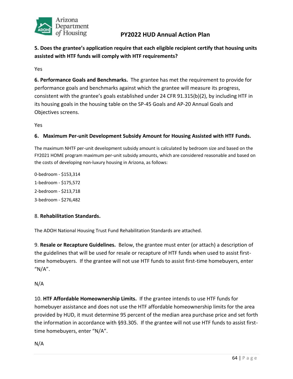

**5. Does the grantee's application require that each eligible recipient certify that housing units assisted with HTF funds will comply with HTF requirements?** 

Yes

**6. Performance Goals and Benchmarks.** The grantee has met the requirement to provide for performance goals and benchmarks against which the grantee will measure its progress, consistent with the grantee's goals established under 24 CFR 91.315(b)(2), by including HTF in its housing goals in the housing table on the SP-45 Goals and AP-20 Annual Goals and Objectives screens.

Yes

#### **6. Maximum Per-unit Development Subsidy Amount for Housing Assisted with HTF Funds.**

The maximum NHTF per-unit development subsidy amount is calculated by bedroom size and based on the FY2021 HOME program maximum per-unit subsidy amounts, which are considered reasonable and based on the costs of developing non-luxury housing in Arizona, as follows:

0-bedroom - \$153,314 1-bedroom - \$175,572 2-bedroom - \$213,718 3-bedroom - \$276,482

#### 8. **Rehabilitation Standards.**

The ADOH National Housing Trust Fund Rehabilitation Standards are attached.

9. **Resale or Recapture Guidelines.** Below, the grantee must enter (or attach) a description of the guidelines that will be used for resale or recapture of HTF funds when used to assist firsttime homebuyers. If the grantee will not use HTF funds to assist first-time homebuyers, enter  $M/A''$ .

#### N/A

10. **HTF Affordable Homeownership Limits.** If the grantee intends to use HTF funds for homebuyer assistance and does not use the HTF affordable homeownership limits for the area provided by HUD, it must determine 95 percent of the median area purchase price and set forth the information in accordance with §93.305. If the grantee will not use HTF funds to assist firsttime homebuyers, enter "N/A".

N/A